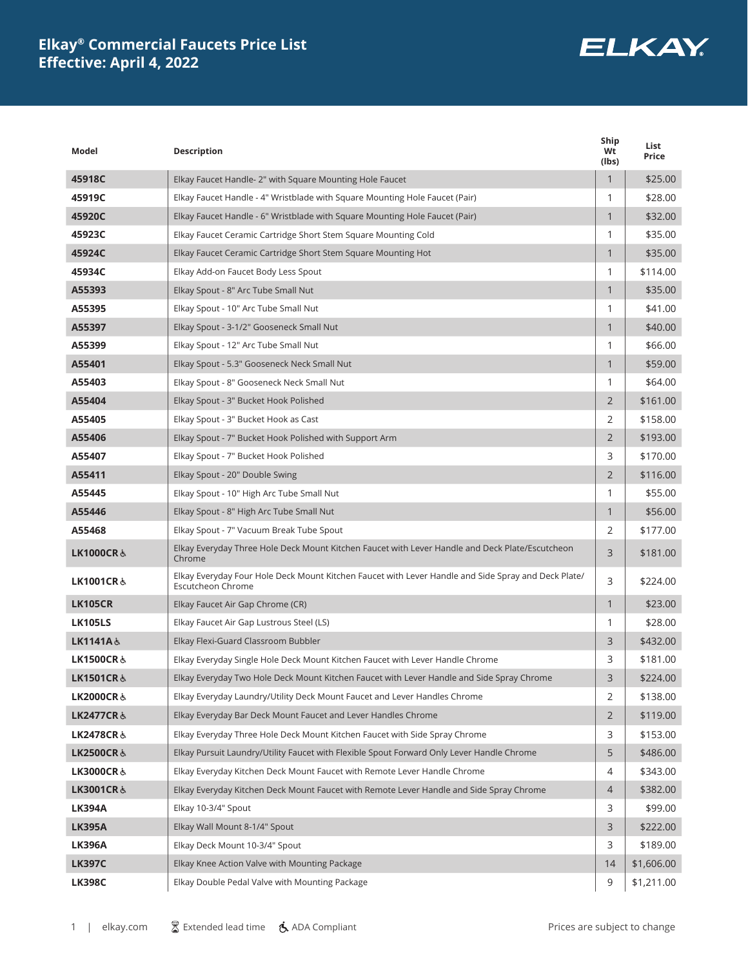# **ELKAY**

| Model                | <b>Description</b>                                                                                                              | Ship<br>Wt<br>(lbs) | List<br>Price |
|----------------------|---------------------------------------------------------------------------------------------------------------------------------|---------------------|---------------|
| 45918C               | Elkay Faucet Handle- 2" with Square Mounting Hole Faucet                                                                        | $\mathbf{1}$        | \$25.00       |
| 45919C               | Elkay Faucet Handle - 4" Wristblade with Square Mounting Hole Faucet (Pair)                                                     | 1                   | \$28.00       |
| 45920C               | Elkay Faucet Handle - 6" Wristblade with Square Mounting Hole Faucet (Pair)                                                     | $\mathbf{1}$        | \$32.00       |
| 45923C               | Elkay Faucet Ceramic Cartridge Short Stem Square Mounting Cold                                                                  | 1                   | \$35.00       |
| 45924C               | Elkay Faucet Ceramic Cartridge Short Stem Square Mounting Hot                                                                   | $\mathbf{1}$        | \$35.00       |
| 45934C               | Elkay Add-on Faucet Body Less Spout                                                                                             | 1                   | \$114.00      |
| A55393               | Elkay Spout - 8" Arc Tube Small Nut                                                                                             | $\mathbf{1}$        | \$35.00       |
| A55395               | Elkay Spout - 10" Arc Tube Small Nut                                                                                            | 1                   | \$41.00       |
| A55397               | Elkay Spout - 3-1/2" Gooseneck Small Nut                                                                                        | $\mathbf{1}$        | \$40.00       |
| A55399               | Elkay Spout - 12" Arc Tube Small Nut                                                                                            | 1                   | \$66.00       |
| A55401               | Elkay Spout - 5.3" Gooseneck Neck Small Nut                                                                                     | $\mathbf{1}$        | \$59.00       |
| A55403               | Elkay Spout - 8" Gooseneck Neck Small Nut                                                                                       | 1                   | \$64.00       |
| A55404               | Elkay Spout - 3" Bucket Hook Polished                                                                                           | $\overline{2}$      | \$161.00      |
| A55405               | Elkay Spout - 3" Bucket Hook as Cast                                                                                            | 2                   | \$158.00      |
| A55406               | Elkay Spout - 7" Bucket Hook Polished with Support Arm                                                                          | $\overline{2}$      | \$193.00      |
| A55407               | Elkay Spout - 7" Bucket Hook Polished                                                                                           | 3                   | \$170.00      |
| A55411               | Elkay Spout - 20" Double Swing                                                                                                  | $\overline{2}$      | \$116.00      |
| A55445               | Elkay Spout - 10" High Arc Tube Small Nut                                                                                       | 1                   | \$55.00       |
| A55446               | Elkay Spout - 8" High Arc Tube Small Nut                                                                                        | $\mathbf{1}$        | \$56.00       |
| A55468               | Elkay Spout - 7" Vacuum Break Tube Spout                                                                                        | 2                   | \$177.00      |
| <b>LK1000CR&amp;</b> | Elkay Everyday Three Hole Deck Mount Kitchen Faucet with Lever Handle and Deck Plate/Escutcheon<br>Chrome                       | 3                   | \$181.00      |
| LK1001CR&            | Elkay Everyday Four Hole Deck Mount Kitchen Faucet with Lever Handle and Side Spray and Deck Plate/<br><b>Escutcheon Chrome</b> | 3                   | \$224.00      |
| <b>LK105CR</b>       | Elkay Faucet Air Gap Chrome (CR)                                                                                                | $\mathbf{1}$        | \$23.00       |
| <b>LK105LS</b>       | Elkay Faucet Air Gap Lustrous Steel (LS)                                                                                        | 1                   | \$28.00       |
| LK1141A&             | Elkay Flexi-Guard Classroom Bubbler                                                                                             | 3                   | \$432.00      |
| <b>LK1500CR&amp;</b> | Elkay Everyday Single Hole Deck Mount Kitchen Faucet with Lever Handle Chrome                                                   | 3                   | \$181.00      |
| LK1501CR &           | Elkay Everyday Two Hole Deck Mount Kitchen Faucet with Lever Handle and Side Spray Chrome                                       | 3                   | \$224.00      |
| LK2000CR &           | Elkay Everyday Laundry/Utility Deck Mount Faucet and Lever Handles Chrome                                                       | 2                   | \$138.00      |
| <b>LK2477CR&amp;</b> | Elkay Everyday Bar Deck Mount Faucet and Lever Handles Chrome                                                                   | $\overline{2}$      | \$119.00      |
| LK2478CR&            | Elkay Everyday Three Hole Deck Mount Kitchen Faucet with Side Spray Chrome                                                      | 3                   | \$153.00      |
| LK2500CR&            | Elkay Pursuit Laundry/Utility Faucet with Flexible Spout Forward Only Lever Handle Chrome                                       | 5                   | \$486.00      |
| LK3000CR &           | Elkay Everyday Kitchen Deck Mount Faucet with Remote Lever Handle Chrome                                                        | 4                   | \$343.00      |
| LK3001CR ೬           | Elkay Everyday Kitchen Deck Mount Faucet with Remote Lever Handle and Side Spray Chrome                                         | $\overline{4}$      | \$382.00      |
| <b>LK394A</b>        | Elkay 10-3/4" Spout                                                                                                             | 3                   | \$99.00       |
| <b>LK395A</b>        | Elkay Wall Mount 8-1/4" Spout                                                                                                   | 3                   | \$222.00      |
| <b>LK396A</b>        | Elkay Deck Mount 10-3/4" Spout                                                                                                  | 3                   | \$189.00      |
| <b>LK397C</b>        | Elkay Knee Action Valve with Mounting Package                                                                                   | 14                  | \$1,606.00    |
| <b>LK398C</b>        | Elkay Double Pedal Valve with Mounting Package                                                                                  | 9                   | \$1,211.00    |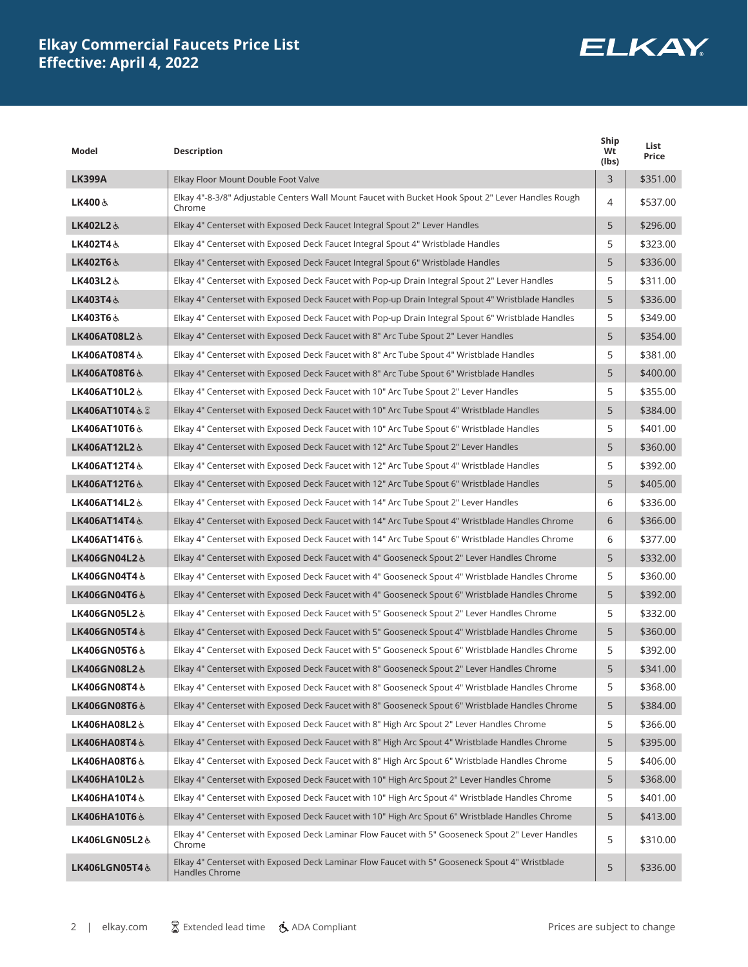

| Model                 | Description                                                                                                      | Ship<br>Wt<br>(lbs) | List<br>Price |
|-----------------------|------------------------------------------------------------------------------------------------------------------|---------------------|---------------|
| <b>LK399A</b>         | Elkay Floor Mount Double Foot Valve                                                                              | 3                   | \$351.00      |
| LK400 জ               | Elkay 4"-8-3/8" Adjustable Centers Wall Mount Faucet with Bucket Hook Spout 2" Lever Handles Rough<br>Chrome     | 4                   | \$537.00      |
| LK402L2&              | Elkay 4" Centerset with Exposed Deck Faucet Integral Spout 2" Lever Handles                                      | 5                   | \$296.00      |
| LK402T4&              | Elkay 4" Centerset with Exposed Deck Faucet Integral Spout 4" Wristblade Handles                                 | 5                   | \$323.00      |
| LK402T6&              | Elkay 4" Centerset with Exposed Deck Faucet Integral Spout 6" Wristblade Handles                                 | 5                   | \$336.00      |
| LK403L2&              | Elkay 4" Centerset with Exposed Deck Faucet with Pop-up Drain Integral Spout 2" Lever Handles                    | 5                   | \$311.00      |
| LK403T4&              | Elkay 4" Centerset with Exposed Deck Faucet with Pop-up Drain Integral Spout 4" Wristblade Handles               | 5                   | \$336.00      |
| LK403T6&              | Elkay 4" Centerset with Exposed Deck Faucet with Pop-up Drain Integral Spout 6" Wristblade Handles               | 5                   | \$349.00      |
| LK406AT08L2&          | Elkay 4" Centerset with Exposed Deck Faucet with 8" Arc Tube Spout 2" Lever Handles                              | 5                   | \$354.00      |
| LK406AT08T4&          | Elkay 4" Centerset with Exposed Deck Faucet with 8" Arc Tube Spout 4" Wristblade Handles                         | 5                   | \$381.00      |
| LK406AT08T6&          | Elkay 4" Centerset with Exposed Deck Faucet with 8" Arc Tube Spout 6" Wristblade Handles                         | 5                   | \$400.00      |
| LK406AT10L2&          | Elkay 4" Centerset with Exposed Deck Faucet with 10" Arc Tube Spout 2" Lever Handles                             | 5                   | \$355.00      |
| LK406AT10T4 $\&$ $\&$ | Elkay 4" Centerset with Exposed Deck Faucet with 10" Arc Tube Spout 4" Wristblade Handles                        | 5                   | \$384.00      |
| LK406AT10T6 &         | Elkay 4" Centerset with Exposed Deck Faucet with 10" Arc Tube Spout 6" Wristblade Handles                        | 5                   | \$401.00      |
| LK406AT12L2&          | Elkay 4" Centerset with Exposed Deck Faucet with 12" Arc Tube Spout 2" Lever Handles                             | 5                   | \$360.00      |
| LK406AT12T4&          | Elkay 4" Centerset with Exposed Deck Faucet with 12" Arc Tube Spout 4" Wristblade Handles                        | 5                   | \$392.00      |
| LK406AT12T6 &         | Elkay 4" Centerset with Exposed Deck Faucet with 12" Arc Tube Spout 6" Wristblade Handles                        | 5                   | \$405.00      |
| LK406AT14L2&          | Elkay 4" Centerset with Exposed Deck Faucet with 14" Arc Tube Spout 2" Lever Handles                             | 6                   | \$336.00      |
| LK406AT14T4&          | Elkay 4" Centerset with Exposed Deck Faucet with 14" Arc Tube Spout 4" Wristblade Handles Chrome                 | 6                   | \$366.00      |
| LK406AT14T6&          | Elkay 4" Centerset with Exposed Deck Faucet with 14" Arc Tube Spout 6" Wristblade Handles Chrome                 | 6                   | \$377.00      |
| LK406GN04L2&          | Elkay 4" Centerset with Exposed Deck Faucet with 4" Gooseneck Spout 2" Lever Handles Chrome                      | 5                   | \$332.00      |
| LK406GN04T4&          | Elkay 4" Centerset with Exposed Deck Faucet with 4" Gooseneck Spout 4" Wristblade Handles Chrome                 | 5                   | \$360.00      |
| LK406GN04T6&          | Elkay 4" Centerset with Exposed Deck Faucet with 4" Gooseneck Spout 6" Wristblade Handles Chrome                 | 5                   | \$392.00      |
| LK406GN05L2&          | Elkay 4" Centerset with Exposed Deck Faucet with 5" Gooseneck Spout 2" Lever Handles Chrome                      | 5                   | \$332.00      |
| LK406GN05T4&          | Elkay 4" Centerset with Exposed Deck Faucet with 5" Gooseneck Spout 4" Wristblade Handles Chrome                 | 5                   | \$360.00      |
| LK406GN05T6&          | Elkay 4" Centerset with Exposed Deck Faucet with 5" Gooseneck Spout 6" Wristblade Handles Chrome                 | 5                   | \$392.00      |
| LK406GN08L2&          | Elkay 4" Centerset with Exposed Deck Faucet with 8" Gooseneck Spout 2" Lever Handles Chrome                      | 5                   | \$341.00      |
| LK406GN08T4 ೬         | Elkay 4" Centerset with Exposed Deck Faucet with 8" Gooseneck Spout 4" Wristblade Handles Chrome                 | 5                   | \$368.00      |
| LK406GN08T6&          | Elkay 4" Centerset with Exposed Deck Faucet with 8" Gooseneck Spout 6" Wristblade Handles Chrome                 | 5                   | \$384.00      |
| LK406HA08L2&          | Elkay 4" Centerset with Exposed Deck Faucet with 8" High Arc Spout 2" Lever Handles Chrome                       | 5                   | \$366.00      |
| LK406HA08T4&          | Elkay 4" Centerset with Exposed Deck Faucet with 8" High Arc Spout 4" Wristblade Handles Chrome                  | 5                   | \$395.00      |
| LK406HA08T6&          | Elkay 4" Centerset with Exposed Deck Faucet with 8" High Arc Spout 6" Wristblade Handles Chrome                  | 5                   | \$406.00      |
| LK406HA10L2&          | Elkay 4" Centerset with Exposed Deck Faucet with 10" High Arc Spout 2" Lever Handles Chrome                      | 5                   | \$368.00      |
| LK406HA10T4&          | Elkay 4" Centerset with Exposed Deck Faucet with 10" High Arc Spout 4" Wristblade Handles Chrome                 | 5                   | \$401.00      |
| LK406HA10T6&          | Elkay 4" Centerset with Exposed Deck Faucet with 10" High Arc Spout 6" Wristblade Handles Chrome                 | 5                   | \$413.00      |
| LK406LGN05L2&         | Elkay 4" Centerset with Exposed Deck Laminar Flow Faucet with 5" Gooseneck Spout 2" Lever Handles<br>Chrome      | 5                   | \$310.00      |
| LK406LGN05T4&         | Elkay 4" Centerset with Exposed Deck Laminar Flow Faucet with 5" Gooseneck Spout 4" Wristblade<br>Handles Chrome | 5                   | \$336.00      |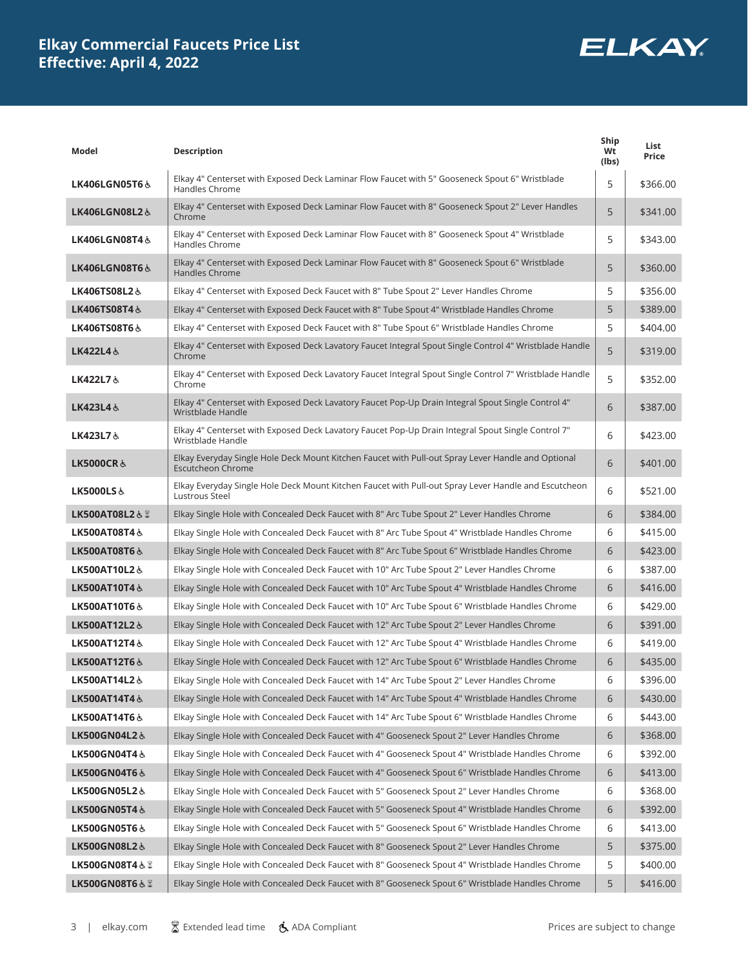

| Model                    | <b>Description</b>                                                                                                             | Ship<br>Wt<br>(lbs) | List<br>Price |
|--------------------------|--------------------------------------------------------------------------------------------------------------------------------|---------------------|---------------|
| LK406LGN05T6 &           | Elkay 4" Centerset with Exposed Deck Laminar Flow Faucet with 5" Gooseneck Spout 6" Wristblade<br>Handles Chrome               | 5                   | \$366.00      |
| LK406LGN08L2&            | Elkay 4" Centerset with Exposed Deck Laminar Flow Faucet with 8" Gooseneck Spout 2" Lever Handles<br>Chrome                    | 5                   | \$341.00      |
| LK406LGN08T4 &           | Elkay 4" Centerset with Exposed Deck Laminar Flow Faucet with 8" Gooseneck Spout 4" Wristblade<br>Handles Chrome               | 5                   | \$343.00      |
| <b>LK406LGN08T6&amp;</b> | Elkay 4" Centerset with Exposed Deck Laminar Flow Faucet with 8" Gooseneck Spout 6" Wristblade<br>Handles Chrome               | 5                   | \$360.00      |
| LK406TS08L2&             | Elkay 4" Centerset with Exposed Deck Faucet with 8" Tube Spout 2" Lever Handles Chrome                                         | 5                   | \$356.00      |
| LK406TS08T4&             | Elkay 4" Centerset with Exposed Deck Faucet with 8" Tube Spout 4" Wristblade Handles Chrome                                    | 5                   | \$389.00      |
| LK406TS08T6 &            | Elkay 4" Centerset with Exposed Deck Faucet with 8" Tube Spout 6" Wristblade Handles Chrome                                    | 5                   | \$404.00      |
| LK422L4&                 | Elkay 4" Centerset with Exposed Deck Lavatory Faucet Integral Spout Single Control 4" Wristblade Handle<br>Chrome              | 5                   | \$319.00      |
| LK422L7&                 | Elkay 4" Centerset with Exposed Deck Lavatory Faucet Integral Spout Single Control 7" Wristblade Handle<br>Chrome              | 5                   | \$352.00      |
| LK423L4&                 | Elkay 4" Centerset with Exposed Deck Lavatory Faucet Pop-Up Drain Integral Spout Single Control 4"<br>Wristblade Handle        | 6                   | \$387.00      |
| LK423L7&                 | Elkay 4" Centerset with Exposed Deck Lavatory Faucet Pop-Up Drain Integral Spout Single Control 7"<br>Wristblade Handle        | 6                   | \$423.00      |
| <b>LK5000CR&amp;</b>     | Elkay Everyday Single Hole Deck Mount Kitchen Faucet with Pull-out Spray Lever Handle and Optional<br><b>Escutcheon Chrome</b> | 6                   | \$401.00      |
| LK5000LS&                | Elkay Everyday Single Hole Deck Mount Kitchen Faucet with Pull-out Spray Lever Handle and Escutcheon<br>Lustrous Steel         | 6                   | \$521.00      |
| LK500AT08L2&8            | Elkay Single Hole with Concealed Deck Faucet with 8" Arc Tube Spout 2" Lever Handles Chrome                                    | 6                   | \$384.00      |
| LK500AT08T4&             | Elkay Single Hole with Concealed Deck Faucet with 8" Arc Tube Spout 4" Wristblade Handles Chrome                               | 6                   | \$415.00      |
| LK500AT08T6&             | Elkay Single Hole with Concealed Deck Faucet with 8" Arc Tube Spout 6" Wristblade Handles Chrome                               | 6                   | \$423.00      |
| LK500AT10L2&             | Elkay Single Hole with Concealed Deck Faucet with 10" Arc Tube Spout 2" Lever Handles Chrome                                   | 6                   | \$387.00      |
| LK500AT10T4&             | Elkay Single Hole with Concealed Deck Faucet with 10" Arc Tube Spout 4" Wristblade Handles Chrome                              | 6                   | \$416.00      |
| <b>LK500AT10T6 &amp;</b> | Elkay Single Hole with Concealed Deck Faucet with 10" Arc Tube Spout 6" Wristblade Handles Chrome                              | 6                   | \$429.00      |
| LK500AT12L2&             | Elkay Single Hole with Concealed Deck Faucet with 12" Arc Tube Spout 2" Lever Handles Chrome                                   | 6                   | \$391.00      |
| LK500AT12T4&             | Elkay Single Hole with Concealed Deck Faucet with 12" Arc Tube Spout 4" Wristblade Handles Chrome                              | 6                   | \$419.00      |
| LK500AT12T6 &            | Elkay Single Hole with Concealed Deck Faucet with 12" Arc Tube Spout 6" Wristblade Handles Chrome                              | 6                   | \$435.00      |
| LK500AT14L2 &            | Elkay Single Hole with Concealed Deck Faucet with 14" Arc Tube Spout 2" Lever Handles Chrome                                   | 6                   | \$396.00      |
| LK500AT14T4&             | Elkay Single Hole with Concealed Deck Faucet with 14" Arc Tube Spout 4" Wristblade Handles Chrome                              | 6                   | \$430.00      |
| LK500AT14T6&             | Elkay Single Hole with Concealed Deck Faucet with 14" Arc Tube Spout 6" Wristblade Handles Chrome                              | 6                   | \$443.00      |
| LK500GN04L2&             | Elkay Single Hole with Concealed Deck Faucet with 4" Gooseneck Spout 2" Lever Handles Chrome                                   | 6                   | \$368.00      |
| LK500GN04T4&             | Elkay Single Hole with Concealed Deck Faucet with 4" Gooseneck Spout 4" Wristblade Handles Chrome                              | 6                   | \$392.00      |
| LK500GN04T6&             | Elkay Single Hole with Concealed Deck Faucet with 4" Gooseneck Spout 6" Wristblade Handles Chrome                              | 6                   | \$413.00      |
| LK500GN05L2&             | Elkay Single Hole with Concealed Deck Faucet with 5" Gooseneck Spout 2" Lever Handles Chrome                                   | 6                   | \$368.00      |
| LK500GN05T4&             | Elkay Single Hole with Concealed Deck Faucet with 5" Gooseneck Spout 4" Wristblade Handles Chrome                              | 6                   | \$392.00      |
| <b>LK500GN05T6&amp;</b>  | Elkay Single Hole with Concealed Deck Faucet with 5" Gooseneck Spout 6" Wristblade Handles Chrome                              | 6                   | \$413.00      |
| LK500GN08L2&             | Elkay Single Hole with Concealed Deck Faucet with 8" Gooseneck Spout 2" Lever Handles Chrome                                   | 5                   | \$375.00      |
| LK500GN08T4 & 2          | Elkay Single Hole with Concealed Deck Faucet with 8" Gooseneck Spout 4" Wristblade Handles Chrome                              | 5                   | \$400.00      |
| LK500GN08T6 & &          | Elkay Single Hole with Concealed Deck Faucet with 8" Gooseneck Spout 6" Wristblade Handles Chrome                              | 5                   | \$416.00      |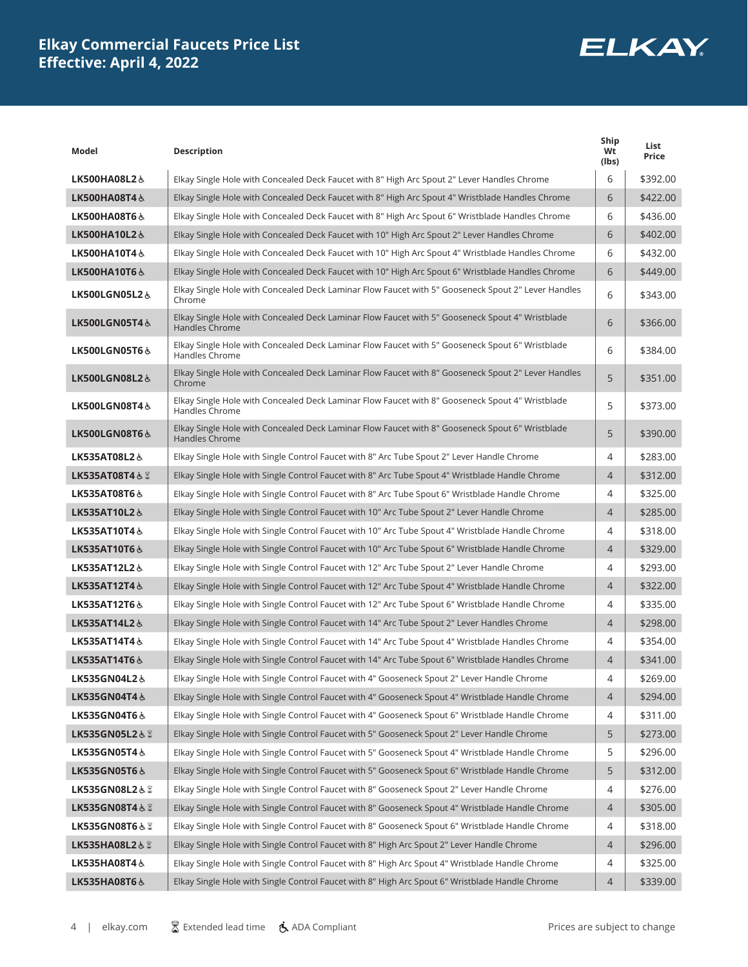

| Model                     | <b>Description</b>                                                                                                | Ship<br>Wt<br>(lbs) | List<br>Price |
|---------------------------|-------------------------------------------------------------------------------------------------------------------|---------------------|---------------|
| LK500HA08L2&              | Elkay Single Hole with Concealed Deck Faucet with 8" High Arc Spout 2" Lever Handles Chrome                       | 6                   | \$392.00      |
| LK500HA08T4&              | Elkay Single Hole with Concealed Deck Faucet with 8" High Arc Spout 4" Wristblade Handles Chrome                  | 6                   | \$422.00      |
| LK500HA08T6&              | Elkay Single Hole with Concealed Deck Faucet with 8" High Arc Spout 6" Wristblade Handles Chrome                  | 6                   | \$436.00      |
| LK500HA10L2&              | Elkay Single Hole with Concealed Deck Faucet with 10" High Arc Spout 2" Lever Handles Chrome                      | 6                   | \$402.00      |
| LK500HA10T4&              | Elkay Single Hole with Concealed Deck Faucet with 10" High Arc Spout 4" Wristblade Handles Chrome                 | 6                   | \$432.00      |
| LK500HA10T6&              | Elkay Single Hole with Concealed Deck Faucet with 10" High Arc Spout 6" Wristblade Handles Chrome                 | 6                   | \$449.00      |
| LK500LGN05L2&             | Elkay Single Hole with Concealed Deck Laminar Flow Faucet with 5" Gooseneck Spout 2" Lever Handles<br>Chrome      | 6                   | \$343.00      |
| <b>LK500LGN05T4 &amp;</b> | Elkay Single Hole with Concealed Deck Laminar Flow Faucet with 5" Gooseneck Spout 4" Wristblade<br>Handles Chrome | 6                   | \$366.00      |
| LK500LGN05T6&             | Elkay Single Hole with Concealed Deck Laminar Flow Faucet with 5" Gooseneck Spout 6" Wristblade<br>Handles Chrome | 6                   | \$384.00      |
| LK500LGN08L2&             | Elkay Single Hole with Concealed Deck Laminar Flow Faucet with 8" Gooseneck Spout 2" Lever Handles<br>Chrome      | 5                   | \$351.00      |
| LK500LGN08T4&             | Elkay Single Hole with Concealed Deck Laminar Flow Faucet with 8" Gooseneck Spout 4" Wristblade<br>Handles Chrome | 5                   | \$373.00      |
| LK500LGN08T6&             | Elkay Single Hole with Concealed Deck Laminar Flow Faucet with 8" Gooseneck Spout 6" Wristblade<br>Handles Chrome | 5                   | \$390.00      |
| LK535AT08L2&              | Elkay Single Hole with Single Control Faucet with 8" Arc Tube Spout 2" Lever Handle Chrome                        | 4                   | \$283.00      |
| LK535AT08T4& &            | Elkay Single Hole with Single Control Faucet with 8" Arc Tube Spout 4" Wristblade Handle Chrome                   | $\overline{4}$      | \$312.00      |
| LK535AT08T6&              | Elkay Single Hole with Single Control Faucet with 8" Arc Tube Spout 6" Wristblade Handle Chrome                   | 4                   | \$325.00      |
| LK535AT10L2&              | Elkay Single Hole with Single Control Faucet with 10" Arc Tube Spout 2" Lever Handle Chrome                       | $\overline{4}$      | \$285.00      |
| LK535AT10T4&              | Elkay Single Hole with Single Control Faucet with 10" Arc Tube Spout 4" Wristblade Handle Chrome                  | 4                   | \$318.00      |
| LK535AT10T6&              | Elkay Single Hole with Single Control Faucet with 10" Arc Tube Spout 6" Wristblade Handle Chrome                  | $\overline{4}$      | \$329.00      |
| <b>LK535AT12L2 &amp;</b>  | Elkay Single Hole with Single Control Faucet with 12" Arc Tube Spout 2" Lever Handle Chrome                       | 4                   | \$293.00      |
| LK535AT12T4&              | Elkay Single Hole with Single Control Faucet with 12" Arc Tube Spout 4" Wristblade Handle Chrome                  | $\overline{4}$      | \$322.00      |
| LK535AT12T6 &             | Elkay Single Hole with Single Control Faucet with 12" Arc Tube Spout 6" Wristblade Handle Chrome                  | 4                   | \$335.00      |
| LK535AT14L2&              | Elkay Single Hole with Single Control Faucet with 14" Arc Tube Spout 2" Lever Handles Chrome                      | $\overline{4}$      | \$298.00      |
| LK535AT14T4&              | Elkay Single Hole with Single Control Faucet with 14" Arc Tube Spout 4" Wristblade Handles Chrome                 | 4                   | \$354.00      |
| LK535AT14T6&              | Elkay Single Hole with Single Control Faucet with 14" Arc Tube Spout 6" Wristblade Handles Chrome                 | $\overline{4}$      | \$341.00      |
| LK535GN04L2 &             | Elkay Single Hole with Single Control Faucet with 4" Gooseneck Spout 2" Lever Handle Chrome                       | 4                   | \$269.00      |
| LK535GN04T4&              | Elkay Single Hole with Single Control Faucet with 4" Gooseneck Spout 4" Wristblade Handle Chrome                  | 4                   | \$294.00      |
| LK535GN04T6&              | Elkay Single Hole with Single Control Faucet with 4" Gooseneck Spout 6" Wristblade Handle Chrome                  | 4                   | \$311.00      |
| LK535GN05L2&8             | Elkay Single Hole with Single Control Faucet with 5" Gooseneck Spout 2" Lever Handle Chrome                       | 5                   | \$273.00      |
| LK535GN05T4&              | Elkay Single Hole with Single Control Faucet with 5" Gooseneck Spout 4" Wristblade Handle Chrome                  | 5                   | \$296.00      |
| LK535GN05T6&              | Elkay Single Hole with Single Control Faucet with 5" Gooseneck Spout 6" Wristblade Handle Chrome                  | 5                   | \$312.00      |
| LK535GN08L2&8             | Elkay Single Hole with Single Control Faucet with 8" Gooseneck Spout 2" Lever Handle Chrome                       | 4                   | \$276.00      |
| LK535GN08T4& &            | Elkay Single Hole with Single Control Faucet with 8" Gooseneck Spout 4" Wristblade Handle Chrome                  | 4                   | \$305.00      |
| LK535GN08T6 & &           | Elkay Single Hole with Single Control Faucet with 8" Gooseneck Spout 6" Wristblade Handle Chrome                  | 4                   | \$318.00      |
| LK535HA08L2&8             | Elkay Single Hole with Single Control Faucet with 8" High Arc Spout 2" Lever Handle Chrome                        | 4                   | \$296.00      |
| LK535HA08T4&              | Elkay Single Hole with Single Control Faucet with 8" High Arc Spout 4" Wristblade Handle Chrome                   | 4                   | \$325.00      |
| LK535HA08T6&              | Elkay Single Hole with Single Control Faucet with 8" High Arc Spout 6" Wristblade Handle Chrome                   | 4                   | \$339.00      |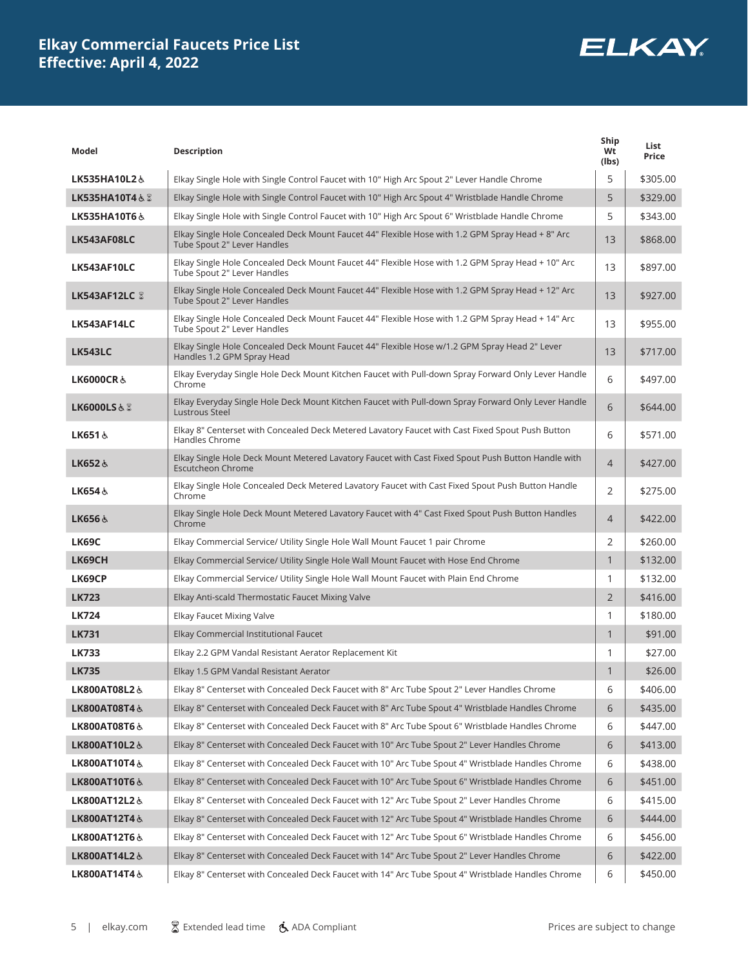

| Model                     | <b>Description</b>                                                                                                               | Ship<br>Wt<br>(lbs) | List<br>Price |
|---------------------------|----------------------------------------------------------------------------------------------------------------------------------|---------------------|---------------|
| LK535HA10L2&              | Elkay Single Hole with Single Control Faucet with 10" High Arc Spout 2" Lever Handle Chrome                                      | 5                   | \$305.00      |
| LK535HA10T4 $\&$ $\&$     | Elkay Single Hole with Single Control Faucet with 10" High Arc Spout 4" Wristblade Handle Chrome                                 | 5                   | \$329.00      |
| LK535HA10T6&              | Elkay Single Hole with Single Control Faucet with 10" High Arc Spout 6" Wristblade Handle Chrome                                 | 5                   | \$343.00      |
| LK543AF08LC               | Elkay Single Hole Concealed Deck Mount Faucet 44" Flexible Hose with 1.2 GPM Spray Head + 8" Arc<br>Tube Spout 2" Lever Handles  | 13                  | \$868.00      |
| LK543AF10LC               | Elkay Single Hole Concealed Deck Mount Faucet 44" Flexible Hose with 1.2 GPM Spray Head + 10" Arc<br>Tube Spout 2" Lever Handles | 13                  | \$897.00      |
| LK543AF12LC &             | Elkay Single Hole Concealed Deck Mount Faucet 44" Flexible Hose with 1.2 GPM Spray Head + 12" Arc<br>Tube Spout 2" Lever Handles | 13                  | \$927.00      |
| LK543AF14LC               | Elkay Single Hole Concealed Deck Mount Faucet 44" Flexible Hose with 1.2 GPM Spray Head + 14" Arc<br>Tube Spout 2" Lever Handles | 13                  | \$955.00      |
| <b>LK543LC</b>            | Elkay Single Hole Concealed Deck Mount Faucet 44" Flexible Hose w/1.2 GPM Spray Head 2" Lever<br>Handles 1.2 GPM Spray Head      | 13                  | \$717.00      |
| <b>LK6000CR&amp;</b>      | Elkay Everyday Single Hole Deck Mount Kitchen Faucet with Pull-down Spray Forward Only Lever Handle<br>Chrome                    | 6                   | \$497.00      |
| <b>LK6000LS&amp;&amp;</b> | Elkay Everyday Single Hole Deck Mount Kitchen Faucet with Pull-down Spray Forward Only Lever Handle<br>Lustrous Steel            | 6                   | \$644.00      |
| LK651&                    | Elkay 8" Centerset with Concealed Deck Metered Lavatory Faucet with Cast Fixed Spout Push Button<br>Handles Chrome               | 6                   | \$571.00      |
| LK652&                    | Elkay Single Hole Deck Mount Metered Lavatory Faucet with Cast Fixed Spout Push Button Handle with<br><b>Escutcheon Chrome</b>   | $\overline{4}$      | \$427.00      |
| LK654&                    | Elkay Single Hole Concealed Deck Metered Lavatory Faucet with Cast Fixed Spout Push Button Handle<br>Chrome                      | $\overline{2}$      | \$275.00      |
| LK656&                    | Elkay Single Hole Deck Mount Metered Lavatory Faucet with 4" Cast Fixed Spout Push Button Handles<br>Chrome                      | $\overline{4}$      | \$422.00      |
| <b>LK69C</b>              | Elkay Commercial Service/ Utility Single Hole Wall Mount Faucet 1 pair Chrome                                                    | 2                   | \$260.00      |
| <b>LK69CH</b>             | Elkay Commercial Service/ Utility Single Hole Wall Mount Faucet with Hose End Chrome                                             | $\mathbf{1}$        | \$132.00      |
| <b>LK69CP</b>             | Elkay Commercial Service/ Utility Single Hole Wall Mount Faucet with Plain End Chrome                                            | 1                   | \$132.00      |
| <b>LK723</b>              | Elkay Anti-scald Thermostatic Faucet Mixing Valve                                                                                | $\overline{2}$      | \$416.00      |
| <b>LK724</b>              | Elkay Faucet Mixing Valve                                                                                                        | 1                   | \$180.00      |
| <b>LK731</b>              | Elkay Commercial Institutional Faucet                                                                                            | $\mathbf{1}$        | \$91.00       |
| <b>LK733</b>              | Elkay 2.2 GPM Vandal Resistant Aerator Replacement Kit                                                                           | 1                   | \$27.00       |
| <b>LK735</b>              | Elkay 1.5 GPM Vandal Resistant Aerator                                                                                           | $\mathbf{1}$        | \$26.00       |
| LK800AT08L2&              | Elkay 8" Centerset with Concealed Deck Faucet with 8" Arc Tube Spout 2" Lever Handles Chrome                                     | 6                   | \$406.00      |
| LK800AT08T4&              | Elkay 8" Centerset with Concealed Deck Faucet with 8" Arc Tube Spout 4" Wristblade Handles Chrome                                | 6                   | \$435.00      |
| LK800AT08T6&              | Elkay 8" Centerset with Concealed Deck Faucet with 8" Arc Tube Spout 6" Wristblade Handles Chrome                                | 6                   | \$447.00      |
| LK800AT10L2&              | Elkay 8" Centerset with Concealed Deck Faucet with 10" Arc Tube Spout 2" Lever Handles Chrome                                    | 6                   | \$413.00      |
| LK800AT10T4&              | Elkay 8" Centerset with Concealed Deck Faucet with 10" Arc Tube Spout 4" Wristblade Handles Chrome                               | 6                   | \$438.00      |
| LK800AT10T6&              | Elkay 8" Centerset with Concealed Deck Faucet with 10" Arc Tube Spout 6" Wristblade Handles Chrome                               | 6                   | \$451.00      |
| LK800AT12L2&              | Elkay 8" Centerset with Concealed Deck Faucet with 12" Arc Tube Spout 2" Lever Handles Chrome                                    | 6                   | \$415.00      |
| LK800AT12T4&              | Elkay 8" Centerset with Concealed Deck Faucet with 12" Arc Tube Spout 4" Wristblade Handles Chrome                               | 6                   | \$444.00      |
| LK800AT12T6&              | Elkay 8" Centerset with Concealed Deck Faucet with 12" Arc Tube Spout 6" Wristblade Handles Chrome                               | 6                   | \$456.00      |
| LK800AT14L2&              | Elkay 8" Centerset with Concealed Deck Faucet with 14" Arc Tube Spout 2" Lever Handles Chrome                                    | 6                   | \$422.00      |
| LK800AT14T4&              | Elkay 8" Centerset with Concealed Deck Faucet with 14" Arc Tube Spout 4" Wristblade Handles Chrome                               | 6                   | \$450.00      |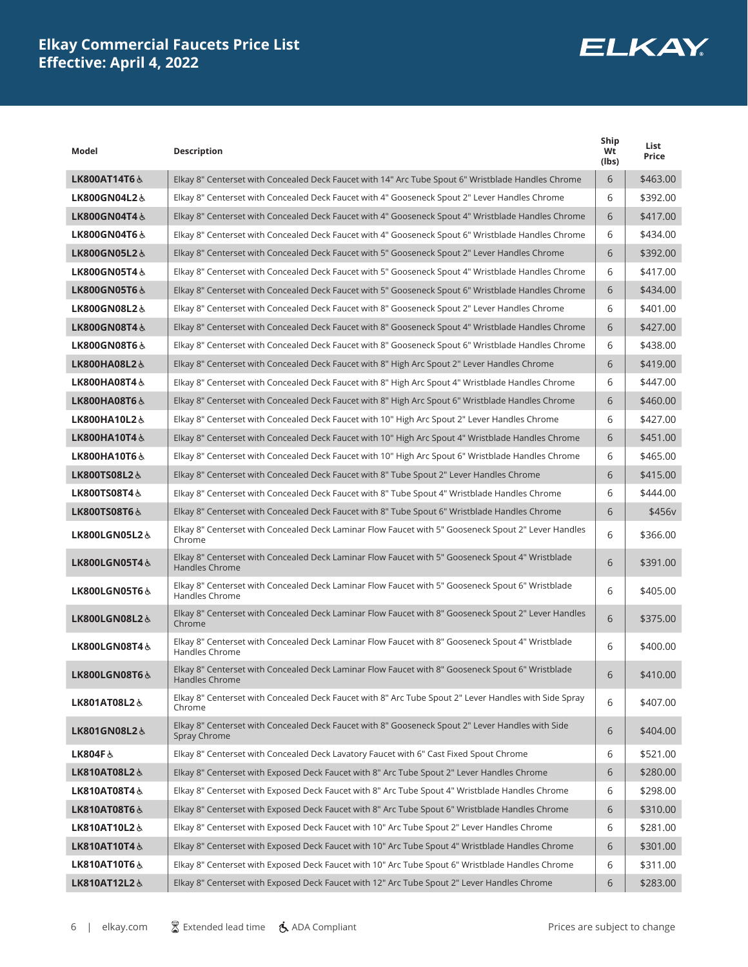

| Model                    | <b>Description</b>                                                                                                        | Ship<br>Wt<br>(lbs) | List<br>Price |
|--------------------------|---------------------------------------------------------------------------------------------------------------------------|---------------------|---------------|
| LK800AT14T6 &            | Elkay 8" Centerset with Concealed Deck Faucet with 14" Arc Tube Spout 6" Wristblade Handles Chrome                        | 6                   | \$463.00      |
| LK800GN04L2&             | Elkay 8" Centerset with Concealed Deck Faucet with 4" Gooseneck Spout 2" Lever Handles Chrome                             | 6                   | \$392.00      |
| LK800GN04T4&             | Elkay 8" Centerset with Concealed Deck Faucet with 4" Gooseneck Spout 4" Wristblade Handles Chrome                        | 6                   | \$417.00      |
| <b>LK800GN04T6&amp;</b>  | Elkay 8" Centerset with Concealed Deck Faucet with 4" Gooseneck Spout 6" Wristblade Handles Chrome                        | 6                   | \$434.00      |
| LK800GN05L2&             | Elkay 8" Centerset with Concealed Deck Faucet with 5" Gooseneck Spout 2" Lever Handles Chrome                             | 6                   | \$392.00      |
| LK800GN05T4&             | Elkay 8" Centerset with Concealed Deck Faucet with 5" Gooseneck Spout 4" Wristblade Handles Chrome                        | 6                   | \$417.00      |
| LK800GN05T6&             | Elkay 8" Centerset with Concealed Deck Faucet with 5" Gooseneck Spout 6" Wristblade Handles Chrome                        | 6                   | \$434.00      |
| LK800GN08L2&             | Elkay 8" Centerset with Concealed Deck Faucet with 8" Gooseneck Spout 2" Lever Handles Chrome                             | 6                   | \$401.00      |
| LK800GN08T4&             | Elkay 8" Centerset with Concealed Deck Faucet with 8" Gooseneck Spout 4" Wristblade Handles Chrome                        | 6                   | \$427.00      |
| LK800GN08T6&             | Elkay 8" Centerset with Concealed Deck Faucet with 8" Gooseneck Spout 6" Wristblade Handles Chrome                        | 6                   | \$438.00      |
| LK800HA08L2&             | Elkay 8" Centerset with Concealed Deck Faucet with 8" High Arc Spout 2" Lever Handles Chrome                              | 6                   | \$419.00      |
| LK800HA08T4 &            | Elkay 8" Centerset with Concealed Deck Faucet with 8" High Arc Spout 4" Wristblade Handles Chrome                         | 6                   | \$447.00      |
| LK800HA08T6&             | Elkay 8" Centerset with Concealed Deck Faucet with 8" High Arc Spout 6" Wristblade Handles Chrome                         | 6                   | \$460.00      |
| LK800HA10L2&             | Elkay 8" Centerset with Concealed Deck Faucet with 10" High Arc Spout 2" Lever Handles Chrome                             | 6                   | \$427.00      |
| LK800HA10T4&             | Elkay 8" Centerset with Concealed Deck Faucet with 10" High Arc Spout 4" Wristblade Handles Chrome                        | 6                   | \$451.00      |
| LK800HA10T6&             | Elkay 8" Centerset with Concealed Deck Faucet with 10" High Arc Spout 6" Wristblade Handles Chrome                        | 6                   | \$465.00      |
| LK800TS08L2&             | Elkay 8" Centerset with Concealed Deck Faucet with 8" Tube Spout 2" Lever Handles Chrome                                  | 6                   | \$415.00      |
| <b>LK800TS08T4&amp;</b>  | Elkay 8" Centerset with Concealed Deck Faucet with 8" Tube Spout 4" Wristblade Handles Chrome                             | 6                   | \$444.00      |
| <b>LK800TS08T6&amp;</b>  | Elkay 8" Centerset with Concealed Deck Faucet with 8" Tube Spout 6" Wristblade Handles Chrome                             | 6                   | \$456v        |
| LK800LGN05L2&            | Elkay 8" Centerset with Concealed Deck Laminar Flow Faucet with 5" Gooseneck Spout 2" Lever Handles<br>Chrome             | 6                   | \$366.00      |
| <b>LK800LGN05T4&amp;</b> | Elkay 8" Centerset with Concealed Deck Laminar Flow Faucet with 5" Gooseneck Spout 4" Wristblade<br><b>Handles Chrome</b> | 6                   | \$391.00      |
| LK800LGN05T6&            | Elkay 8" Centerset with Concealed Deck Laminar Flow Faucet with 5" Gooseneck Spout 6" Wristblade<br>Handles Chrome        | 6                   | \$405.00      |
| LK800LGN08L2&            | Elkay 8" Centerset with Concealed Deck Laminar Flow Faucet with 8" Gooseneck Spout 2" Lever Handles<br>Chrome             | 6                   | \$375.00      |
| LK800LGN08T4&            | Elkay 8" Centerset with Concealed Deck Laminar Flow Faucet with 8" Gooseneck Spout 4" Wristblade<br>Handles Chrome        | 6                   | \$400.00      |
| LK800LGN08T6&            | Elkay 8" Centerset with Concealed Deck Laminar Flow Faucet with 8" Gooseneck Spout 6" Wristblade<br>Handles Chrome        | 6                   | \$410.00      |
| LK801AT08L2&             | Elkay 8" Centerset with Concealed Deck Faucet with 8" Arc Tube Spout 2" Lever Handles with Side Spray<br>Chrome           | 6                   | \$407.00      |
| LK801GN08L2&             | Elkay 8" Centerset with Concealed Deck Faucet with 8" Gooseneck Spout 2" Lever Handles with Side<br>Spray Chrome          | 6                   | \$404.00      |
| LK804F&                  | Elkay 8" Centerset with Concealed Deck Lavatory Faucet with 6" Cast Fixed Spout Chrome                                    | 6                   | \$521.00      |
| LK810AT08L2&             | Elkay 8" Centerset with Exposed Deck Faucet with 8" Arc Tube Spout 2" Lever Handles Chrome                                | 6                   | \$280.00      |
| LK810AT08T4&             | Elkay 8" Centerset with Exposed Deck Faucet with 8" Arc Tube Spout 4" Wristblade Handles Chrome                           | 6                   | \$298.00      |
| LK810AT08T6&             | Elkay 8" Centerset with Exposed Deck Faucet with 8" Arc Tube Spout 6" Wristblade Handles Chrome                           | 6                   | \$310.00      |
| LK810AT10L2&             | Elkay 8" Centerset with Exposed Deck Faucet with 10" Arc Tube Spout 2" Lever Handles Chrome                               | 6                   | \$281.00      |
| LK810AT10T4&             | Elkay 8" Centerset with Exposed Deck Faucet with 10" Arc Tube Spout 4" Wristblade Handles Chrome                          | 6                   | \$301.00      |
| <b>LK810AT10T6 &amp;</b> | Elkay 8" Centerset with Exposed Deck Faucet with 10" Arc Tube Spout 6" Wristblade Handles Chrome                          | 6                   | \$311.00      |
| LK810AT12L2&             | Elkay 8" Centerset with Exposed Deck Faucet with 12" Arc Tube Spout 2" Lever Handles Chrome                               | 6                   | \$283.00      |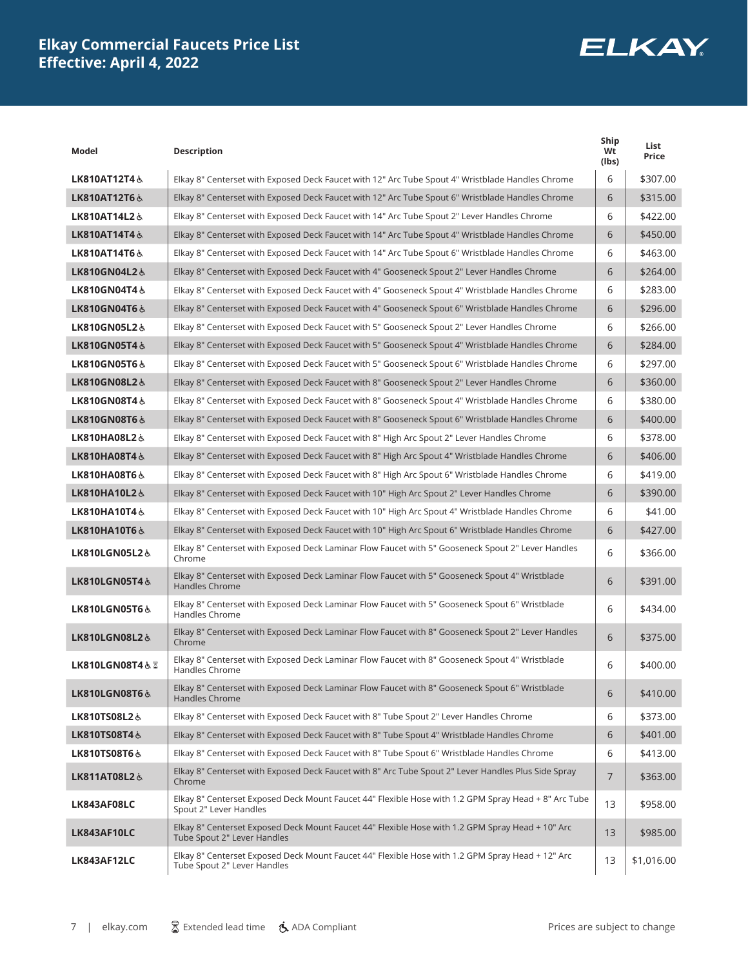

| Model                    | <b>Description</b>                                                                                                              | Ship<br>Wt<br>(lbs) | List<br>Price |
|--------------------------|---------------------------------------------------------------------------------------------------------------------------------|---------------------|---------------|
| LK810AT12T4&             | Elkay 8" Centerset with Exposed Deck Faucet with 12" Arc Tube Spout 4" Wristblade Handles Chrome                                | 6                   | \$307.00      |
| LK810AT12T6 &            | Elkay 8" Centerset with Exposed Deck Faucet with 12" Arc Tube Spout 6" Wristblade Handles Chrome                                | 6                   | \$315.00      |
| LK810AT14L2&             | Elkay 8" Centerset with Exposed Deck Faucet with 14" Arc Tube Spout 2" Lever Handles Chrome                                     | 6                   | \$422.00      |
| LK810AT14T4&             | Elkay 8" Centerset with Exposed Deck Faucet with 14" Arc Tube Spout 4" Wristblade Handles Chrome                                | 6                   | \$450.00      |
| LK810AT14T6&             | Elkay 8" Centerset with Exposed Deck Faucet with 14" Arc Tube Spout 6" Wristblade Handles Chrome                                | 6                   | \$463.00      |
| LK810GN04L2&             | Elkay 8" Centerset with Exposed Deck Faucet with 4" Gooseneck Spout 2" Lever Handles Chrome                                     | 6                   | \$264.00      |
| LK810GN04T4&             | Elkay 8" Centerset with Exposed Deck Faucet with 4" Gooseneck Spout 4" Wristblade Handles Chrome                                | 6                   | \$283.00      |
| LK810GN04T6&             | Elkay 8" Centerset with Exposed Deck Faucet with 4" Gooseneck Spout 6" Wristblade Handles Chrome                                | 6                   | \$296.00      |
| LK810GN05L2&             | Elkay 8" Centerset with Exposed Deck Faucet with 5" Gooseneck Spout 2" Lever Handles Chrome                                     | 6                   | \$266.00      |
| LK810GN05T4&             | Elkay 8" Centerset with Exposed Deck Faucet with 5" Gooseneck Spout 4" Wristblade Handles Chrome                                | 6                   | \$284.00      |
| <b>LK810GN05T6&amp;</b>  | Elkay 8" Centerset with Exposed Deck Faucet with 5" Gooseneck Spout 6" Wristblade Handles Chrome                                | 6                   | \$297.00      |
| LK810GN08L2&             | Elkay 8" Centerset with Exposed Deck Faucet with 8" Gooseneck Spout 2" Lever Handles Chrome                                     | 6                   | \$360.00      |
| LK810GN08T4&             | Elkay 8" Centerset with Exposed Deck Faucet with 8" Gooseneck Spout 4" Wristblade Handles Chrome                                | 6                   | \$380.00      |
| LK810GN08T6&             | Elkay 8" Centerset with Exposed Deck Faucet with 8" Gooseneck Spout 6" Wristblade Handles Chrome                                | 6                   | \$400.00      |
| LK810HA08L2&             | Elkay 8" Centerset with Exposed Deck Faucet with 8" High Arc Spout 2" Lever Handles Chrome                                      | 6                   | \$378.00      |
| LK810HA08T4&             | Elkay 8" Centerset with Exposed Deck Faucet with 8" High Arc Spout 4" Wristblade Handles Chrome                                 | 6                   | \$406.00      |
| LK810HA08T6&             | Elkay 8" Centerset with Exposed Deck Faucet with 8" High Arc Spout 6" Wristblade Handles Chrome                                 | 6                   | \$419.00      |
| LK810HA10L2&             | Elkay 8" Centerset with Exposed Deck Faucet with 10" High Arc Spout 2" Lever Handles Chrome                                     | 6                   | \$390.00      |
| LK810HA10T4&             | Elkay 8" Centerset with Exposed Deck Faucet with 10" High Arc Spout 4" Wristblade Handles Chrome                                | 6                   | \$41.00       |
| LK810HA10T6&             | Elkay 8" Centerset with Exposed Deck Faucet with 10" High Arc Spout 6" Wristblade Handles Chrome                                | 6                   | \$427.00      |
| LK810LGN05L2&            | Elkay 8" Centerset with Exposed Deck Laminar Flow Faucet with 5" Gooseneck Spout 2" Lever Handles<br>Chrome                     | 6                   | \$366.00      |
| LK810LGN05T4&            | Elkay 8" Centerset with Exposed Deck Laminar Flow Faucet with 5" Gooseneck Spout 4" Wristblade<br>Handles Chrome                | 6                   | \$391.00      |
| <b>LK810LGN05T6&amp;</b> | Elkay 8" Centerset with Exposed Deck Laminar Flow Faucet with 5" Gooseneck Spout 6" Wristblade<br>Handles Chrome                | 6                   | \$434.00      |
| LK810LGN08L2&            | Elkay 8" Centerset with Exposed Deck Laminar Flow Faucet with 8" Gooseneck Spout 2" Lever Handles<br>Chrome                     | 6                   | \$375.00      |
| LK810LGN08T4& Z          | Elkay 8" Centerset with Exposed Deck Laminar Flow Faucet with 8" Gooseneck Spout 4" Wristblade<br>Handles Chrome                | 6                   | \$400.00      |
| LK810LGN08T6&            | Elkay 8" Centerset with Exposed Deck Laminar Flow Faucet with 8" Gooseneck Spout 6" Wristblade<br><b>Handles Chrome</b>         | 6                   | \$410.00      |
| LK810TS08L2&             | Elkay 8" Centerset with Exposed Deck Faucet with 8" Tube Spout 2" Lever Handles Chrome                                          | 6                   | \$373.00      |
| LK810TS08T4&             | Elkay 8" Centerset with Exposed Deck Faucet with 8" Tube Spout 4" Wristblade Handles Chrome                                     | 6                   | \$401.00      |
| <b>LK810TS08T6&amp;</b>  | Elkay 8" Centerset with Exposed Deck Faucet with 8" Tube Spout 6" Wristblade Handles Chrome                                     | 6                   | \$413.00      |
| LK811AT08L2&             | Elkay 8" Centerset with Exposed Deck Faucet with 8" Arc Tube Spout 2" Lever Handles Plus Side Spray<br>Chrome                   | $\overline{7}$      | \$363.00      |
| LK843AF08LC              | Elkay 8" Centerset Exposed Deck Mount Faucet 44" Flexible Hose with 1.2 GPM Spray Head + 8" Arc Tube<br>Spout 2" Lever Handles  | 13                  | \$958.00      |
| LK843AF10LC              | Elkay 8" Centerset Exposed Deck Mount Faucet 44" Flexible Hose with 1.2 GPM Spray Head + 10" Arc<br>Tube Spout 2" Lever Handles | 13                  | \$985.00      |
| LK843AF12LC              | Elkay 8" Centerset Exposed Deck Mount Faucet 44" Flexible Hose with 1.2 GPM Spray Head + 12" Arc<br>Tube Spout 2" Lever Handles | 13                  | \$1,016.00    |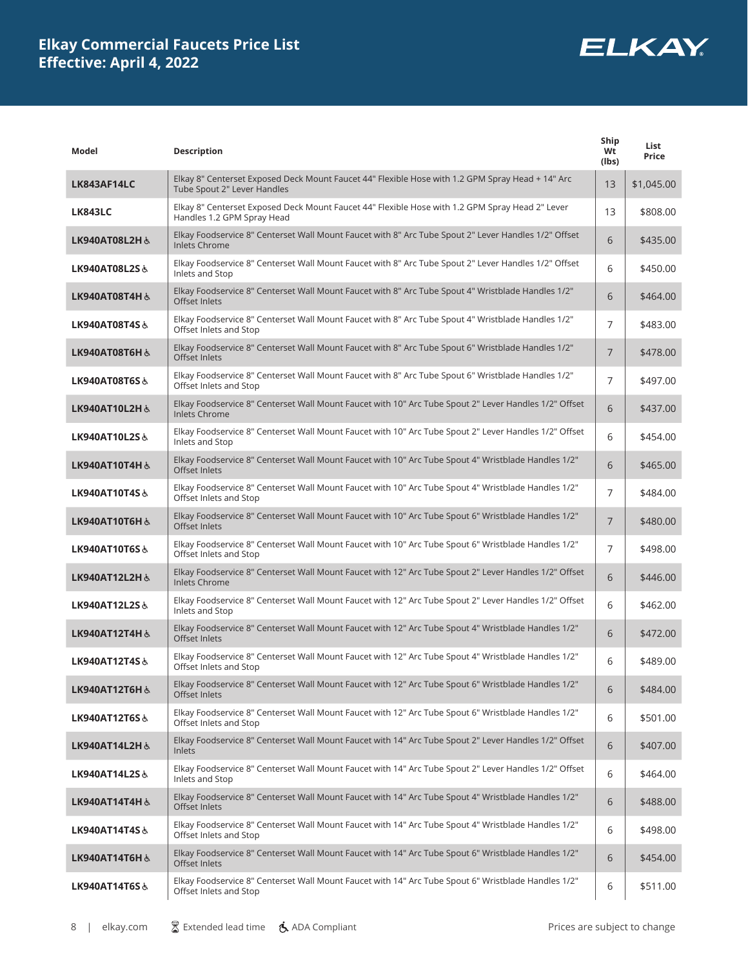

| Model                    | <b>Description</b>                                                                                                              | Ship<br>Wt<br>(lbs) | List<br>Price |
|--------------------------|---------------------------------------------------------------------------------------------------------------------------------|---------------------|---------------|
| LK843AF14LC              | Elkay 8" Centerset Exposed Deck Mount Faucet 44" Flexible Hose with 1.2 GPM Spray Head + 14" Arc<br>Tube Spout 2" Lever Handles | 13                  | \$1,045.00    |
| <b>LK843LC</b>           | Elkay 8" Centerset Exposed Deck Mount Faucet 44" Flexible Hose with 1.2 GPM Spray Head 2" Lever<br>Handles 1.2 GPM Spray Head   | 13                  | \$808.00      |
| LK940AT08L2H &           | Elkay Foodservice 8" Centerset Wall Mount Faucet with 8" Arc Tube Spout 2" Lever Handles 1/2" Offset<br><b>Inlets Chrome</b>    | 6                   | \$435.00      |
| LK940AT08L2S &           | Elkay Foodservice 8" Centerset Wall Mount Faucet with 8" Arc Tube Spout 2" Lever Handles 1/2" Offset<br>Inlets and Stop         | 6                   | \$450.00      |
| LK940AT08T4H &           | Elkay Foodservice 8" Centerset Wall Mount Faucet with 8" Arc Tube Spout 4" Wristblade Handles 1/2"<br>Offset Inlets             | 6                   | \$464.00      |
| LK940AT08T4S&            | Elkay Foodservice 8" Centerset Wall Mount Faucet with 8" Arc Tube Spout 4" Wristblade Handles 1/2"<br>Offset Inlets and Stop    | 7                   | \$483.00      |
| LK940AT08T6H &           | Elkay Foodservice 8" Centerset Wall Mount Faucet with 8" Arc Tube Spout 6" Wristblade Handles 1/2"<br>Offset Inlets             | $\overline{7}$      | \$478.00      |
| LK940AT08T6S&            | Elkay Foodservice 8" Centerset Wall Mount Faucet with 8" Arc Tube Spout 6" Wristblade Handles 1/2"<br>Offset Inlets and Stop    | 7                   | \$497.00      |
| LK940AT10L2H &           | Elkay Foodservice 8" Centerset Wall Mount Faucet with 10" Arc Tube Spout 2" Lever Handles 1/2" Offset<br><b>Inlets Chrome</b>   | 6                   | \$437.00      |
| LK940AT10L2S&            | Elkay Foodservice 8" Centerset Wall Mount Faucet with 10" Arc Tube Spout 2" Lever Handles 1/2" Offset<br>Inlets and Stop        | 6                   | \$454.00      |
| LK940AT10T4H &           | Elkay Foodservice 8" Centerset Wall Mount Faucet with 10" Arc Tube Spout 4" Wristblade Handles 1/2"<br>Offset Inlets            | 6                   | \$465.00      |
| LK940AT10T4S&            | Elkay Foodservice 8" Centerset Wall Mount Faucet with 10" Arc Tube Spout 4" Wristblade Handles 1/2"<br>Offset Inlets and Stop   | $\overline{7}$      | \$484.00      |
| LK940AT10T6H &           | Elkay Foodservice 8" Centerset Wall Mount Faucet with 10" Arc Tube Spout 6" Wristblade Handles 1/2"<br>Offset Inlets            | $\overline{7}$      | \$480.00      |
| <b>LK940AT10T6S&amp;</b> | Elkay Foodservice 8" Centerset Wall Mount Faucet with 10" Arc Tube Spout 6" Wristblade Handles 1/2"<br>Offset Inlets and Stop   | 7                   | \$498.00      |
| LK940AT12L2H &           | Elkay Foodservice 8" Centerset Wall Mount Faucet with 12" Arc Tube Spout 2" Lever Handles 1/2" Offset<br><b>Inlets Chrome</b>   | 6                   | \$446.00      |
| LK940AT12L2S&            | Elkay Foodservice 8" Centerset Wall Mount Faucet with 12" Arc Tube Spout 2" Lever Handles 1/2" Offset<br>Inlets and Stop        | 6                   | \$462.00      |
| LK940AT12T4H &           | Elkay Foodservice 8" Centerset Wall Mount Faucet with 12" Arc Tube Spout 4" Wristblade Handles 1/2"<br>Offset Inlets            | 6                   | \$472.00      |
| LK940AT12T4S&            | Elkay Foodservice 8" Centerset Wall Mount Faucet with 12" Arc Tube Spout 4" Wristblade Handles 1/2"<br>Offset Inlets and Stop   | 6                   | \$489.00      |
| LK940AT12T6H &           | Elkay Foodservice 8" Centerset Wall Mount Faucet with 12" Arc Tube Spout 6" Wristblade Handles 1/2"<br>Offset Inlets            | 6                   | \$484.00      |
| LK940AT12T6S&            | Elkay Foodservice 8" Centerset Wall Mount Faucet with 12" Arc Tube Spout 6" Wristblade Handles 1/2"<br>Offset Inlets and Stop   | 6                   | \$501.00      |
| LK940AT14L2H &           | Elkay Foodservice 8" Centerset Wall Mount Faucet with 14" Arc Tube Spout 2" Lever Handles 1/2" Offset<br>Inlets                 | 6                   | \$407.00      |
| LK940AT14L2S&            | Elkay Foodservice 8" Centerset Wall Mount Faucet with 14" Arc Tube Spout 2" Lever Handles 1/2" Offset<br>Inlets and Stop        | 6                   | \$464.00      |
| LK940AT14T4H &           | Elkay Foodservice 8" Centerset Wall Mount Faucet with 14" Arc Tube Spout 4" Wristblade Handles 1/2"<br>Offset Inlets            | 6                   | \$488.00      |
| LK940AT14T4S&            | Elkay Foodservice 8" Centerset Wall Mount Faucet with 14" Arc Tube Spout 4" Wristblade Handles 1/2"<br>Offset Inlets and Stop   | 6                   | \$498.00      |
| LK940AT14T6H &           | Elkay Foodservice 8" Centerset Wall Mount Faucet with 14" Arc Tube Spout 6" Wristblade Handles 1/2"<br>Offset Inlets            | 6                   | \$454.00      |
| <b>LK940AT14T6S&amp;</b> | Elkay Foodservice 8" Centerset Wall Mount Faucet with 14" Arc Tube Spout 6" Wristblade Handles 1/2"<br>Offset Inlets and Stop   | 6                   | \$511.00      |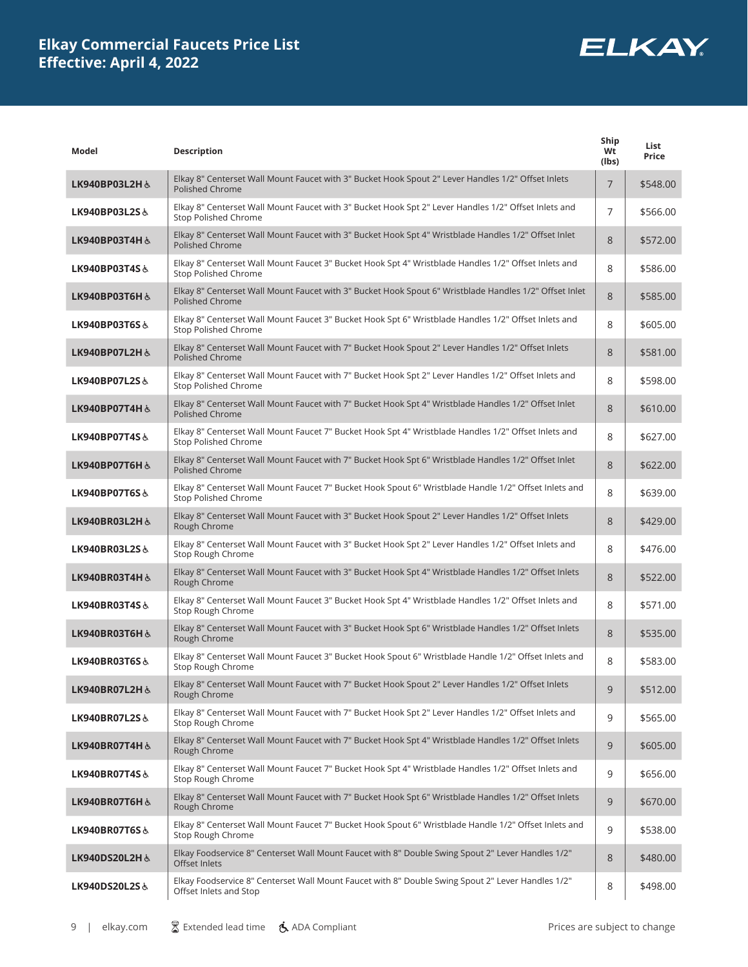

| Model                     | <b>Description</b>                                                                                                                  | Ship<br>Wt<br>(lbs) | List<br>Price |
|---------------------------|-------------------------------------------------------------------------------------------------------------------------------------|---------------------|---------------|
| LK940BP03L2H &            | Elkay 8" Centerset Wall Mount Faucet with 3" Bucket Hook Spout 2" Lever Handles 1/2" Offset Inlets<br>Polished Chrome               | $\overline{7}$      | \$548.00      |
| LK940BP03L2S&             | Elkay 8" Centerset Wall Mount Faucet with 3" Bucket Hook Spt 2" Lever Handles 1/2" Offset Inlets and<br><b>Stop Polished Chrome</b> | $\overline{7}$      | \$566.00      |
| LK940BP03T4H &            | Elkay 8" Centerset Wall Mount Faucet with 3" Bucket Hook Spt 4" Wristblade Handles 1/2" Offset Inlet<br><b>Polished Chrome</b>      | 8                   | \$572.00      |
| LK940BP03T4S&             | Elkay 8" Centerset Wall Mount Faucet 3" Bucket Hook Spt 4" Wristblade Handles 1/2" Offset Inlets and<br>Stop Polished Chrome        | 8                   | \$586.00      |
| LK940BP03T6H &            | Elkay 8" Centerset Wall Mount Faucet with 3" Bucket Hook Spout 6" Wristblade Handles 1/2" Offset Inlet<br>Polished Chrome           | 8                   | \$585.00      |
| LK940BP03T6S&             | Elkay 8" Centerset Wall Mount Faucet 3" Bucket Hook Spt 6" Wristblade Handles 1/2" Offset Inlets and<br><b>Stop Polished Chrome</b> | 8                   | \$605.00      |
| LK940BP07L2H &            | Elkay 8" Centerset Wall Mount Faucet with 7" Bucket Hook Spout 2" Lever Handles 1/2" Offset Inlets<br><b>Polished Chrome</b>        | 8                   | \$581.00      |
| LK940BP07L2S&             | Elkay 8" Centerset Wall Mount Faucet with 7" Bucket Hook Spt 2" Lever Handles 1/2" Offset Inlets and<br><b>Stop Polished Chrome</b> | 8                   | \$598.00      |
| LK940BP07T4H &            | Elkay 8" Centerset Wall Mount Faucet with 7" Bucket Hook Spt 4" Wristblade Handles 1/2" Offset Inlet<br>Polished Chrome             | 8                   | \$610.00      |
| LK940BP07T4S&             | Elkay 8" Centerset Wall Mount Faucet 7" Bucket Hook Spt 4" Wristblade Handles 1/2" Offset Inlets and<br><b>Stop Polished Chrome</b> | 8                   | \$627.00      |
| LK940BP07T6H &            | Elkay 8" Centerset Wall Mount Faucet with 7" Bucket Hook Spt 6" Wristblade Handles 1/2" Offset Inlet<br>Polished Chrome             | 8                   | \$622.00      |
| <b>LK940BP07T6S&amp;</b>  | Elkay 8" Centerset Wall Mount Faucet 7" Bucket Hook Spout 6" Wristblade Handle 1/2" Offset Inlets and<br>Stop Polished Chrome       | 8                   | \$639.00      |
| LK940BR03L2H &            | Elkay 8" Centerset Wall Mount Faucet with 3" Bucket Hook Spout 2" Lever Handles 1/2" Offset Inlets<br>Rough Chrome                  | 8                   | \$429.00      |
| LK940BR03L2S&             | Elkay 8" Centerset Wall Mount Faucet with 3" Bucket Hook Spt 2" Lever Handles 1/2" Offset Inlets and<br>Stop Rough Chrome           | 8                   | \$476.00      |
| LK940BR03T4H&             | Elkay 8" Centerset Wall Mount Faucet with 3" Bucket Hook Spt 4" Wristblade Handles 1/2" Offset Inlets<br>Rough Chrome               | 8                   | \$522.00      |
| LK940BR03T4S&             | Elkay 8" Centerset Wall Mount Faucet 3" Bucket Hook Spt 4" Wristblade Handles 1/2" Offset Inlets and<br>Stop Rough Chrome           | 8                   | \$571.00      |
| LK940BR03T6H &            | Elkay 8" Centerset Wall Mount Faucet with 3" Bucket Hook Spt 6" Wristblade Handles 1/2" Offset Inlets<br>Rough Chrome               | 8                   | \$535.00      |
| <b>LK940BR03T6S &amp;</b> | Elkay 8" Centerset Wall Mount Faucet 3" Bucket Hook Spout 6" Wristblade Handle 1/2" Offset Inlets and<br>Stop Rough Chrome          | 8                   | \$583.00      |
| LK940BR07L2H &            | Elkay 8" Centerset Wall Mount Faucet with 7" Bucket Hook Spout 2" Lever Handles 1/2" Offset Inlets<br>Rough Chrome                  | 9                   | \$512.00      |
| LK940BR07L2S&             | Elkay 8" Centerset Wall Mount Faucet with 7" Bucket Hook Spt 2" Lever Handles 1/2" Offset Inlets and<br>Stop Rough Chrome           | 9                   | \$565.00      |
| LK940BR07T4H&             | Elkay 8" Centerset Wall Mount Faucet with 7" Bucket Hook Spt 4" Wristblade Handles 1/2" Offset Inlets<br>Rough Chrome               | 9                   | \$605.00      |
| LK940BR07T4S&             | Elkay 8" Centerset Wall Mount Faucet 7" Bucket Hook Spt 4" Wristblade Handles 1/2" Offset Inlets and<br>Stop Rough Chrome           | 9                   | \$656.00      |
| LK940BR07T6H &            | Elkay 8" Centerset Wall Mount Faucet with 7" Bucket Hook Spt 6" Wristblade Handles 1/2" Offset Inlets<br>Rough Chrome               | 9                   | \$670.00      |
| LK940BR07T6S&             | Elkay 8" Centerset Wall Mount Faucet 7" Bucket Hook Spout 6" Wristblade Handle 1/2" Offset Inlets and<br>Stop Rough Chrome          | 9                   | \$538.00      |
| LK940DS20L2H&             | Elkay Foodservice 8" Centerset Wall Mount Faucet with 8" Double Swing Spout 2" Lever Handles 1/2"<br>Offset Inlets                  | 8                   | \$480.00      |
| LK940DS20L2S&             | Elkay Foodservice 8" Centerset Wall Mount Faucet with 8" Double Swing Spout 2" Lever Handles 1/2"<br>Offset Inlets and Stop         | 8                   | \$498.00      |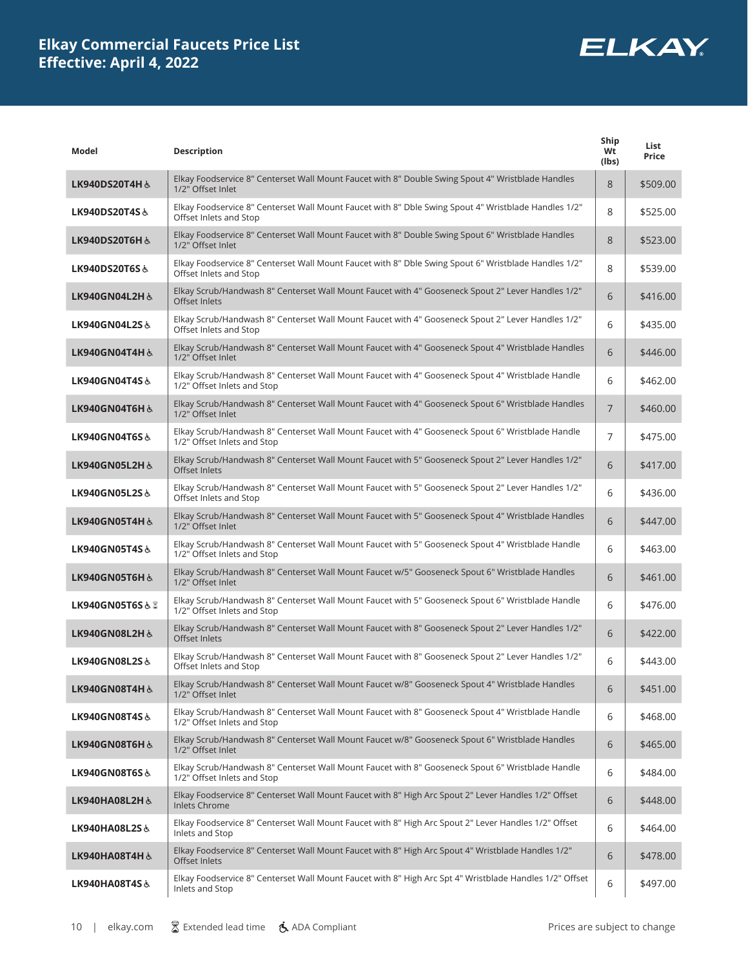

| Model                    | <b>Description</b>                                                                                                              | Ship<br>Wt<br>(lbs) | List<br>Price |
|--------------------------|---------------------------------------------------------------------------------------------------------------------------------|---------------------|---------------|
| LK940DS20T4H &           | Elkay Foodservice 8" Centerset Wall Mount Faucet with 8" Double Swing Spout 4" Wristblade Handles<br>1/2" Offset Inlet          | 8                   | \$509.00      |
| LK940DS20T4S&            | Elkay Foodservice 8" Centerset Wall Mount Faucet with 8" Dble Swing Spout 4" Wristblade Handles 1/2"<br>Offset Inlets and Stop  | 8                   | \$525.00      |
| LK940DS20T6H &           | Elkay Foodservice 8" Centerset Wall Mount Faucet with 8" Double Swing Spout 6" Wristblade Handles<br>1/2" Offset Inlet          | 8                   | \$523.00      |
| LK940DS20T6S&            | Elkay Foodservice 8" Centerset Wall Mount Faucet with 8" Dble Swing Spout 6" Wristblade Handles 1/2"<br>Offset Inlets and Stop  | 8                   | \$539.00      |
| LK940GN04L2H&            | Elkay Scrub/Handwash 8" Centerset Wall Mount Faucet with 4" Gooseneck Spout 2" Lever Handles 1/2"<br>Offset Inlets              | 6                   | \$416.00      |
| LK940GN04L2S&            | Elkay Scrub/Handwash 8" Centerset Wall Mount Faucet with 4" Gooseneck Spout 2" Lever Handles 1/2"<br>Offset Inlets and Stop     | 6                   | \$435.00      |
| LK940GN04T4H &           | Elkay Scrub/Handwash 8" Centerset Wall Mount Faucet with 4" Gooseneck Spout 4" Wristblade Handles<br>1/2" Offset Inlet          | 6                   | \$446.00      |
| LK940GN04T4S&            | Elkay Scrub/Handwash 8" Centerset Wall Mount Faucet with 4" Gooseneck Spout 4" Wristblade Handle<br>1/2" Offset Inlets and Stop | 6                   | \$462.00      |
| LK940GN04T6H &           | Elkay Scrub/Handwash 8" Centerset Wall Mount Faucet with 4" Gooseneck Spout 6" Wristblade Handles<br>1/2" Offset Inlet          | $\overline{7}$      | \$460.00      |
| LK940GN04T6S&            | Elkay Scrub/Handwash 8" Centerset Wall Mount Faucet with 4" Gooseneck Spout 6" Wristblade Handle<br>1/2" Offset Inlets and Stop | $\overline{7}$      | \$475.00      |
| LK940GN05L2H&            | Elkay Scrub/Handwash 8" Centerset Wall Mount Faucet with 5" Gooseneck Spout 2" Lever Handles 1/2"<br>Offset Inlets              | 6                   | \$417.00      |
| LK940GN05L2S&            | Elkay Scrub/Handwash 8" Centerset Wall Mount Faucet with 5" Gooseneck Spout 2" Lever Handles 1/2"<br>Offset Inlets and Stop     | 6                   | \$436.00      |
| LK940GN05T4H &           | Elkay Scrub/Handwash 8" Centerset Wall Mount Faucet with 5" Gooseneck Spout 4" Wristblade Handles<br>1/2" Offset Inlet          | 6                   | \$447.00      |
| LK940GN05T4S&            | Elkay Scrub/Handwash 8" Centerset Wall Mount Faucet with 5" Gooseneck Spout 4" Wristblade Handle<br>1/2" Offset Inlets and Stop | 6                   | \$463.00      |
| LK940GN05T6H&            | Elkay Scrub/Handwash 8" Centerset Wall Mount Faucet w/5" Gooseneck Spout 6" Wristblade Handles<br>1/2" Offset Inlet             | 6                   | \$461.00      |
| LK940GN05T6S&Z           | Elkay Scrub/Handwash 8" Centerset Wall Mount Faucet with 5" Gooseneck Spout 6" Wristblade Handle<br>1/2" Offset Inlets and Stop | 6                   | \$476.00      |
| LK940GN08L2H&            | Elkay Scrub/Handwash 8" Centerset Wall Mount Faucet with 8" Gooseneck Spout 2" Lever Handles 1/2"<br>Offset Inlets              | 6                   | \$422.00      |
| LK940GN08L2S&            | Elkay Scrub/Handwash 8" Centerset Wall Mount Faucet with 8" Gooseneck Spout 2" Lever Handles 1/2"<br>Offset Inlets and Stop     | 6                   | \$443.00      |
| LK940GN08T4H &           | Elkay Scrub/Handwash 8" Centerset Wall Mount Faucet w/8" Gooseneck Spout 4" Wristblade Handles<br>1/2" Offset Inlet             | 6                   | \$451.00      |
| LK940GN08T4S&            | Elkay Scrub/Handwash 8" Centerset Wall Mount Faucet with 8" Gooseneck Spout 4" Wristblade Handle<br>1/2" Offset Inlets and Stop | 6                   | \$468.00      |
| LK940GN08T6H&            | Elkay Scrub/Handwash 8" Centerset Wall Mount Faucet w/8" Gooseneck Spout 6" Wristblade Handles<br>1/2" Offset Inlet             | 6                   | \$465.00      |
| <b>LK940GN08T6S&amp;</b> | Elkay Scrub/Handwash 8" Centerset Wall Mount Faucet with 8" Gooseneck Spout 6" Wristblade Handle<br>1/2" Offset Inlets and Stop | 6                   | \$484.00      |
| LK940HA08L2H &           | Elkay Foodservice 8" Centerset Wall Mount Faucet with 8" High Arc Spout 2" Lever Handles 1/2" Offset<br><b>Inlets Chrome</b>    | 6                   | \$448.00      |
| <b>LK940HA08L2S&amp;</b> | Elkay Foodservice 8" Centerset Wall Mount Faucet with 8" High Arc Spout 2" Lever Handles 1/2" Offset<br>Inlets and Stop         | 6                   | \$464.00      |
| LK940HA08T4H &           | Elkay Foodservice 8" Centerset Wall Mount Faucet with 8" High Arc Spout 4" Wristblade Handles 1/2"<br>Offset Inlets             | 6                   | \$478.00      |
| LK940HA08T4S&            | Elkay Foodservice 8" Centerset Wall Mount Faucet with 8" High Arc Spt 4" Wristblade Handles 1/2" Offset<br>Inlets and Stop      | 6                   | \$497.00      |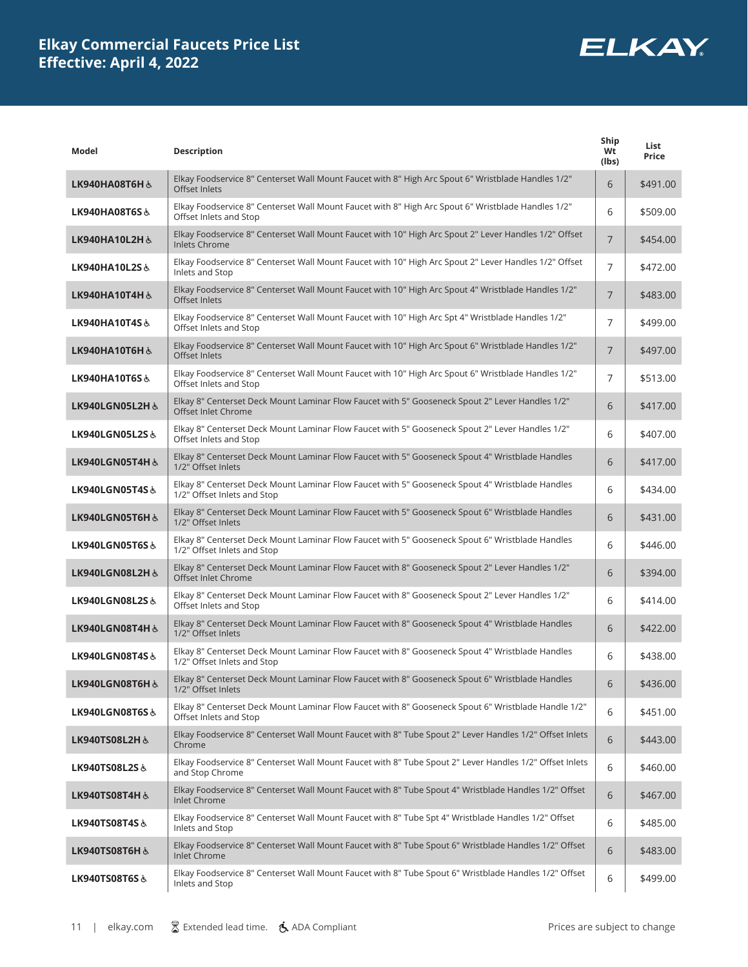

| Model                     | <b>Description</b>                                                                                                             | Ship<br>Wt<br>(lbs) | List<br>Price |
|---------------------------|--------------------------------------------------------------------------------------------------------------------------------|---------------------|---------------|
| LK940HA08T6H &            | Elkay Foodservice 8" Centerset Wall Mount Faucet with 8" High Arc Spout 6" Wristblade Handles 1/2"<br>Offset Inlets            | 6                   | \$491.00      |
| LK940HA08T6S&             | Elkay Foodservice 8" Centerset Wall Mount Faucet with 8" High Arc Spout 6" Wristblade Handles 1/2"<br>Offset Inlets and Stop   | 6                   | \$509.00      |
| LK940HA10L2H &            | Elkay Foodservice 8" Centerset Wall Mount Faucet with 10" High Arc Spout 2" Lever Handles 1/2" Offset<br><b>Inlets Chrome</b>  | $\overline{7}$      | \$454.00      |
| LK940HA10L2S&             | Elkay Foodservice 8" Centerset Wall Mount Faucet with 10" High Arc Spout 2" Lever Handles 1/2" Offset<br>Inlets and Stop       | $\overline{7}$      | \$472.00      |
| LK940HA10T4H &            | Elkay Foodservice 8" Centerset Wall Mount Faucet with 10" High Arc Spout 4" Wristblade Handles 1/2"<br>Offset Inlets           | $\overline{7}$      | \$483.00      |
| LK940HA10T4S&             | Elkay Foodservice 8" Centerset Wall Mount Faucet with 10" High Arc Spt 4" Wristblade Handles 1/2"<br>Offset Inlets and Stop    | $\overline{7}$      | \$499.00      |
| LK940HA10T6H &            | Elkay Foodservice 8" Centerset Wall Mount Faucet with 10" High Arc Spout 6" Wristblade Handles 1/2"<br>Offset Inlets           | $\overline{7}$      | \$497.00      |
| LK940HA10T6S&             | Elkay Foodservice 8" Centerset Wall Mount Faucet with 10" High Arc Spout 6" Wristblade Handles 1/2"<br>Offset Inlets and Stop  | 7                   | \$513.00      |
| LK940LGN05L2H &           | Elkay 8" Centerset Deck Mount Laminar Flow Faucet with 5" Gooseneck Spout 2" Lever Handles 1/2"<br>Offset Inlet Chrome         | 6                   | \$417.00      |
| LK940LGN05L2S&            | Elkay 8" Centerset Deck Mount Laminar Flow Faucet with 5" Gooseneck Spout 2" Lever Handles 1/2"<br>Offset Inlets and Stop      | 6                   | \$407.00      |
| LK940LGN05T4H &           | Elkay 8" Centerset Deck Mount Laminar Flow Faucet with 5" Gooseneck Spout 4" Wristblade Handles<br>1/2" Offset Inlets          | 6                   | \$417.00      |
| LK940LGN05T4S&            | Elkay 8" Centerset Deck Mount Laminar Flow Faucet with 5" Gooseneck Spout 4" Wristblade Handles<br>1/2" Offset Inlets and Stop | 6                   | \$434.00      |
| LK940LGN05T6H &           | Elkay 8" Centerset Deck Mount Laminar Flow Faucet with 5" Gooseneck Spout 6" Wristblade Handles<br>1/2" Offset Inlets          | 6                   | \$431.00      |
| LK940LGN05T6S&            | Elkay 8" Centerset Deck Mount Laminar Flow Faucet with 5" Gooseneck Spout 6" Wristblade Handles<br>1/2" Offset Inlets and Stop | 6                   | \$446.00      |
| LK940LGN08L2H&            | Elkay 8" Centerset Deck Mount Laminar Flow Faucet with 8" Gooseneck Spout 2" Lever Handles 1/2"<br>Offset Inlet Chrome         | 6                   | \$394.00      |
| LK940LGN08L2S&            | Elkay 8" Centerset Deck Mount Laminar Flow Faucet with 8" Gooseneck Spout 2" Lever Handles 1/2"<br>Offset Inlets and Stop      | 6                   | \$414.00      |
| LK940LGN08T4H&            | Elkay 8" Centerset Deck Mount Laminar Flow Faucet with 8" Gooseneck Spout 4" Wristblade Handles<br>1/2" Offset Inlets          | 6                   | \$422.00      |
| LK940LGN08T4S&            | Elkay 8" Centerset Deck Mount Laminar Flow Faucet with 8" Gooseneck Spout 4" Wristblade Handles<br>1/2" Offset Inlets and Stop | 6                   | \$438.00      |
| ة LK940LGN08T6H           | Elkay 8" Centerset Deck Mount Laminar Flow Faucet with 8" Gooseneck Spout 6" Wristblade Handles<br>1/2" Offset Inlets          | 6                   | \$436.00      |
| LK940LGN08T6S&            | Elkay 8" Centerset Deck Mount Laminar Flow Faucet with 8" Gooseneck Spout 6" Wristblade Handle 1/2"<br>Offset Inlets and Stop  | 6                   | \$451.00      |
| LK940TS08L2H &            | Elkay Foodservice 8" Centerset Wall Mount Faucet with 8" Tube Spout 2" Lever Handles 1/2" Offset Inlets<br>Chrome              | 6                   | \$443.00      |
| <b>LK940TS08L2S&amp;</b>  | Elkay Foodservice 8" Centerset Wall Mount Faucet with 8" Tube Spout 2" Lever Handles 1/2" Offset Inlets<br>and Stop Chrome     | 6                   | \$460.00      |
| LK940TS08T4H &            | Elkay Foodservice 8" Centerset Wall Mount Faucet with 8" Tube Spout 4" Wristblade Handles 1/2" Offset<br><b>Inlet Chrome</b>   | 6                   | \$467.00      |
| <b>LK940TS08T4S&amp;</b>  | Elkay Foodservice 8" Centerset Wall Mount Faucet with 8" Tube Spt 4" Wristblade Handles 1/2" Offset<br>Inlets and Stop         | 6                   | \$485.00      |
| <b>LK940TS08T6H &amp;</b> | Elkay Foodservice 8" Centerset Wall Mount Faucet with 8" Tube Spout 6" Wristblade Handles 1/2" Offset<br>Inlet Chrome          | 6                   | \$483.00      |
| LK940TS08T6S&             | Elkay Foodservice 8" Centerset Wall Mount Faucet with 8" Tube Spout 6" Wristblade Handles 1/2" Offset<br>Inlets and Stop       | 6                   | \$499.00      |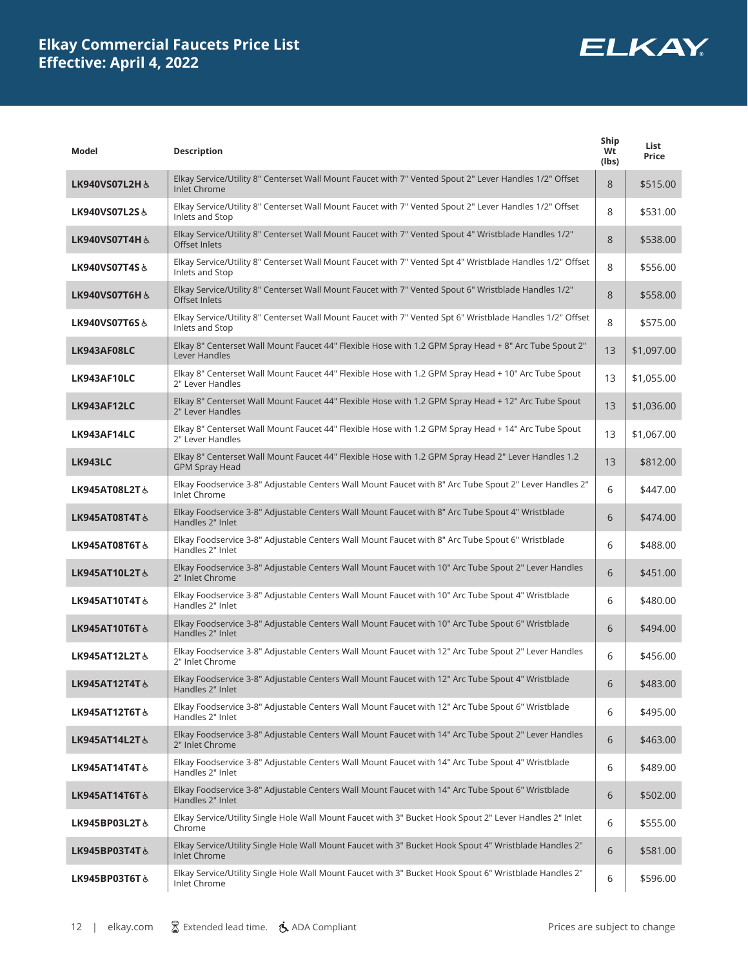

| Model                     | <b>Description</b>                                                                                                           | Ship<br>Wt<br>(lbs) | List<br>Price |
|---------------------------|------------------------------------------------------------------------------------------------------------------------------|---------------------|---------------|
| LK940VS07L2H &            | Elkay Service/Utility 8" Centerset Wall Mount Faucet with 7" Vented Spout 2" Lever Handles 1/2" Offset<br>Inlet Chrome       | 8                   | \$515.00      |
| LK940VS07L2S&             | Elkay Service/Utility 8" Centerset Wall Mount Faucet with 7" Vented Spout 2" Lever Handles 1/2" Offset<br>Inlets and Stop    | 8                   | \$531.00      |
| LK940VS07T4H &            | Elkay Service/Utility 8" Centerset Wall Mount Faucet with 7" Vented Spout 4" Wristblade Handles 1/2"<br>Offset Inlets        | 8                   | \$538.00      |
| LK940VS07T4S&             | Elkay Service/Utility 8" Centerset Wall Mount Faucet with 7" Vented Spt 4" Wristblade Handles 1/2" Offset<br>Inlets and Stop | 8                   | \$556.00      |
| LK940VS07T6H &            | Elkay Service/Utility 8" Centerset Wall Mount Faucet with 7" Vented Spout 6" Wristblade Handles 1/2"<br>Offset Inlets        | 8                   | \$558.00      |
| LK940VS07T6S&             | Elkay Service/Utility 8" Centerset Wall Mount Faucet with 7" Vented Spt 6" Wristblade Handles 1/2" Offset<br>Inlets and Stop | 8                   | \$575.00      |
| LK943AF08LC               | Elkay 8" Centerset Wall Mount Faucet 44" Flexible Hose with 1.2 GPM Spray Head + 8" Arc Tube Spout 2"<br>Lever Handles       | 13                  | \$1,097.00    |
| LK943AF10LC               | Elkay 8" Centerset Wall Mount Faucet 44" Flexible Hose with 1.2 GPM Spray Head + 10" Arc Tube Spout<br>2" Lever Handles      | 13                  | \$1,055.00    |
| LK943AF12LC               | Elkay 8" Centerset Wall Mount Faucet 44" Flexible Hose with 1.2 GPM Spray Head + 12" Arc Tube Spout<br>2" Lever Handles      | 13                  | \$1,036.00    |
| LK943AF14LC               | Elkay 8" Centerset Wall Mount Faucet 44" Flexible Hose with 1.2 GPM Spray Head + 14" Arc Tube Spout<br>2" Lever Handles      | 13                  | \$1,067.00    |
| <b>LK943LC</b>            | Elkay 8" Centerset Wall Mount Faucet 44" Flexible Hose with 1.2 GPM Spray Head 2" Lever Handles 1.2<br><b>GPM Spray Head</b> | 13                  | \$812.00      |
| LK945AT08L2T&             | Elkay Foodservice 3-8" Adjustable Centers Wall Mount Faucet with 8" Arc Tube Spout 2" Lever Handles 2"<br>Inlet Chrome       | 6                   | \$447.00      |
| LK945AT08T4T&             | Elkay Foodservice 3-8" Adjustable Centers Wall Mount Faucet with 8" Arc Tube Spout 4" Wristblade<br>Handles 2" Inlet         | 6                   | \$474.00      |
| LK945AT08T6T&             | Elkay Foodservice 3-8" Adjustable Centers Wall Mount Faucet with 8" Arc Tube Spout 6" Wristblade<br>Handles 2" Inlet         | 6                   | \$488.00      |
| LK945AT10L2T &            | Elkay Foodservice 3-8" Adjustable Centers Wall Mount Faucet with 10" Arc Tube Spout 2" Lever Handles<br>2" Inlet Chrome      | 6                   | \$451.00      |
| LK945AT10T4T&             | Elkay Foodservice 3-8" Adjustable Centers Wall Mount Faucet with 10" Arc Tube Spout 4" Wristblade<br>Handles 2" Inlet        | 6                   | \$480.00      |
| <b>LK945AT10T6T&amp;</b>  | Elkay Foodservice 3-8" Adjustable Centers Wall Mount Faucet with 10" Arc Tube Spout 6" Wristblade<br>Handles 2" Inlet        | 6                   | \$494.00      |
| LK945AT12L2T&             | Elkay Foodservice 3-8" Adjustable Centers Wall Mount Faucet with 12" Arc Tube Spout 2" Lever Handles<br>2" Inlet Chrome      | 6                   | \$456.00      |
| <b>LK945AT12T4T&amp;</b>  | Elkay Foodservice 3-8" Adjustable Centers Wall Mount Faucet with 12" Arc Tube Spout 4" Wristblade<br>Handles 2" Inlet        | 6                   | \$483.00      |
| LK945AT12T6T&             | Elkay Foodservice 3-8" Adjustable Centers Wall Mount Faucet with 12" Arc Tube Spout 6" Wristblade<br>Handles 2" Inlet        | 6                   | \$495.00      |
| LK945AT14L2T &            | Elkay Foodservice 3-8" Adjustable Centers Wall Mount Faucet with 14" Arc Tube Spout 2" Lever Handles<br>2" Inlet Chrome      | 6                   | \$463.00      |
| <b>LK945AT14T4T&amp;</b>  | Elkay Foodservice 3-8" Adjustable Centers Wall Mount Faucet with 14" Arc Tube Spout 4" Wristblade<br>Handles 2" Inlet        | 6                   | \$489.00      |
| <b>LK945AT14T6T &amp;</b> | Elkay Foodservice 3-8" Adjustable Centers Wall Mount Faucet with 14" Arc Tube Spout 6" Wristblade<br>Handles 2" Inlet        | 6                   | \$502.00      |
| LK945BP03L2T&             | Elkay Service/Utility Single Hole Wall Mount Faucet with 3" Bucket Hook Spout 2" Lever Handles 2" Inlet<br>Chrome            | 6                   | \$555.00      |
| <b>LK945BP03T4T&amp;</b>  | Elkay Service/Utility Single Hole Wall Mount Faucet with 3" Bucket Hook Spout 4" Wristblade Handles 2"<br>Inlet Chrome       | 6                   | \$581.00      |
| LK945BP03T6T&             | Elkay Service/Utility Single Hole Wall Mount Faucet with 3" Bucket Hook Spout 6" Wristblade Handles 2"<br>Inlet Chrome       | 6                   | \$596.00      |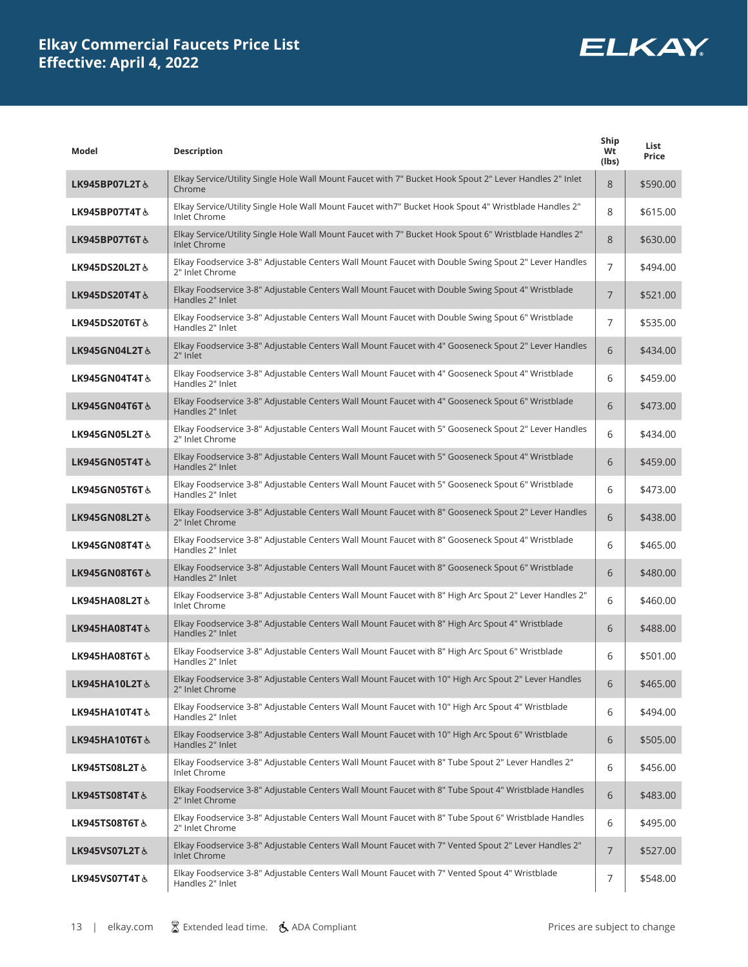

| Model                    | <b>Description</b>                                                                                                            | Ship<br>Wt<br>(lbs) | List<br>Price |
|--------------------------|-------------------------------------------------------------------------------------------------------------------------------|---------------------|---------------|
| LK945BP07L2T &           | Elkay Service/Utility Single Hole Wall Mount Faucet with 7" Bucket Hook Spout 2" Lever Handles 2" Inlet<br>Chrome             | 8                   | \$590.00      |
| LK945BP07T4T&            | Elkay Service/Utility Single Hole Wall Mount Faucet with7" Bucket Hook Spout 4" Wristblade Handles 2"<br>Inlet Chrome         | 8                   | \$615.00      |
| LK945BP07T6T&            | Elkay Service/Utility Single Hole Wall Mount Faucet with 7" Bucket Hook Spout 6" Wristblade Handles 2"<br><b>Inlet Chrome</b> | 8                   | \$630.00      |
| LK945DS20L2T&            | Elkay Foodservice 3-8" Adjustable Centers Wall Mount Faucet with Double Swing Spout 2" Lever Handles<br>2" Inlet Chrome       | $\overline{7}$      | \$494.00      |
| LK945DS20T4T&            | Elkay Foodservice 3-8" Adjustable Centers Wall Mount Faucet with Double Swing Spout 4" Wristblade<br>Handles 2" Inlet         | $\overline{7}$      | \$521.00      |
| LK945DS20T6T&            | Elkay Foodservice 3-8" Adjustable Centers Wall Mount Faucet with Double Swing Spout 6" Wristblade<br>Handles 2" Inlet         | $\overline{7}$      | \$535.00      |
| LK945GN04L2T&            | Elkay Foodservice 3-8" Adjustable Centers Wall Mount Faucet with 4" Gooseneck Spout 2" Lever Handles<br>2" Inlet              | 6                   | \$434.00      |
| LK945GN04T4T &           | Elkay Foodservice 3-8" Adjustable Centers Wall Mount Faucet with 4" Gooseneck Spout 4" Wristblade<br>Handles 2" Inlet         | 6                   | \$459.00      |
| LK945GN04T6T&            | Elkay Foodservice 3-8" Adjustable Centers Wall Mount Faucet with 4" Gooseneck Spout 6" Wristblade<br>Handles 2" Inlet         | 6                   | \$473.00      |
| LK945GN05L2T&            | Elkay Foodservice 3-8" Adjustable Centers Wall Mount Faucet with 5" Gooseneck Spout 2" Lever Handles<br>2" Inlet Chrome       | 6                   | \$434.00      |
| <b>LK945GN05T4T&amp;</b> | Elkay Foodservice 3-8" Adjustable Centers Wall Mount Faucet with 5" Gooseneck Spout 4" Wristblade<br>Handles 2" Inlet         | 6                   | \$459.00      |
| LK945GN05T6T&            | Elkay Foodservice 3-8" Adjustable Centers Wall Mount Faucet with 5" Gooseneck Spout 6" Wristblade<br>Handles 2" Inlet         | 6                   | \$473.00      |
| LK945GN08L2T&            | Elkay Foodservice 3-8" Adjustable Centers Wall Mount Faucet with 8" Gooseneck Spout 2" Lever Handles<br>2" Inlet Chrome       | 6                   | \$438.00      |
| LK945GN08T4T&            | Elkay Foodservice 3-8" Adjustable Centers Wall Mount Faucet with 8" Gooseneck Spout 4" Wristblade<br>Handles 2" Inlet         | 6                   | \$465.00      |
| LK945GN08T6T&            | Elkay Foodservice 3-8" Adjustable Centers Wall Mount Faucet with 8" Gooseneck Spout 6" Wristblade<br>Handles 2" Inlet         | 6                   | \$480.00      |
| LK945HA08L2T&            | Elkay Foodservice 3-8" Adjustable Centers Wall Mount Faucet with 8" High Arc Spout 2" Lever Handles 2"<br>Inlet Chrome        | 6                   | \$460.00      |
| LK945HA08T4T&            | Elkay Foodservice 3-8" Adjustable Centers Wall Mount Faucet with 8" High Arc Spout 4" Wristblade<br>Handles 2" Inlet          | 6                   | \$488.00      |
| LK945HA08T6T&            | Elkay Foodservice 3-8" Adjustable Centers Wall Mount Faucet with 8" High Arc Spout 6" Wristblade<br>Handles 2" Inlet          | 6                   | \$501.00      |
| LK945HA10L2T &           | Elkay Foodservice 3-8" Adjustable Centers Wall Mount Faucet with 10" High Arc Spout 2" Lever Handles<br>2" Inlet Chrome       | 6                   | \$465.00      |
| LK945HA10T4T&            | Elkay Foodservice 3-8" Adjustable Centers Wall Mount Faucet with 10" High Arc Spout 4" Wristblade<br>Handles 2" Inlet         | 6                   | \$494.00      |
| LK945HA10T6T&            | Elkay Foodservice 3-8" Adjustable Centers Wall Mount Faucet with 10" High Arc Spout 6" Wristblade<br>Handles 2" Inlet         | 6                   | \$505.00      |
| LK945TS08L2T &           | Elkay Foodservice 3-8" Adjustable Centers Wall Mount Faucet with 8" Tube Spout 2" Lever Handles 2"<br>Inlet Chrome            | 6                   | \$456.00      |
| LK945TS08T4T&            | Elkay Foodservice 3-8" Adjustable Centers Wall Mount Faucet with 8" Tube Spout 4" Wristblade Handles<br>2" Inlet Chrome       | 6                   | \$483.00      |
| <b>LK945TS08T6T&amp;</b> | Elkay Foodservice 3-8" Adjustable Centers Wall Mount Faucet with 8" Tube Spout 6" Wristblade Handles<br>2" Inlet Chrome       | 6                   | \$495.00      |
| LK945VS07L2T&            | Elkay Foodservice 3-8" Adjustable Centers Wall Mount Faucet with 7" Vented Spout 2" Lever Handles 2"<br>Inlet Chrome          | $\overline{7}$      | \$527.00      |
| LK945VS07T4T&            | Elkay Foodservice 3-8" Adjustable Centers Wall Mount Faucet with 7" Vented Spout 4" Wristblade<br>Handles 2" Inlet            | 7                   | \$548.00      |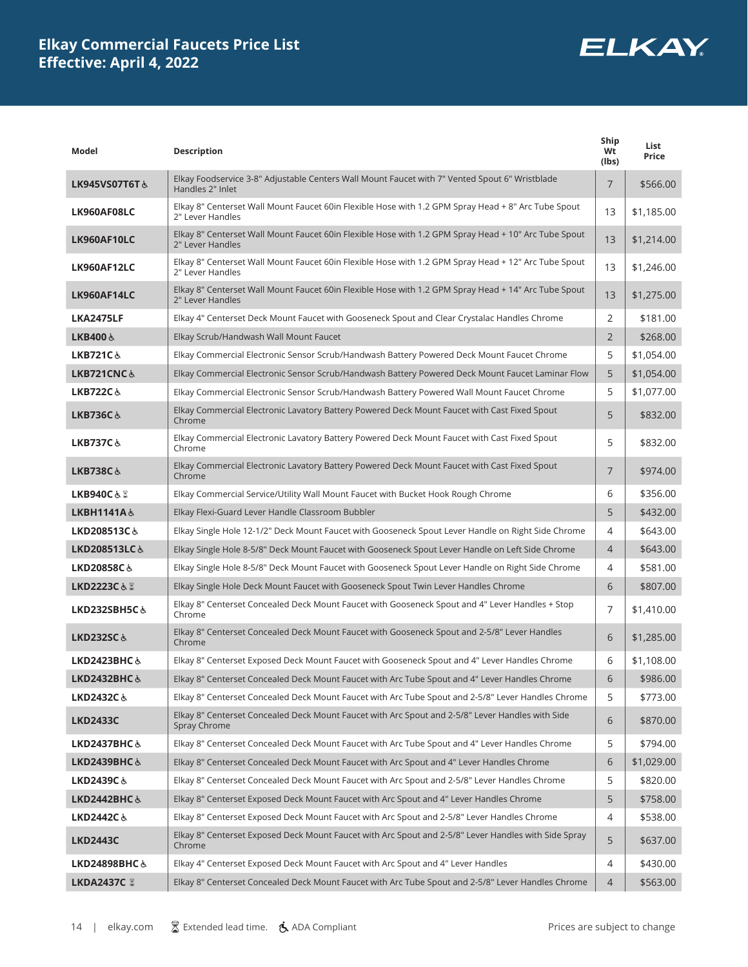

| Model                   | <b>Description</b>                                                                                                       | Ship<br>Wt<br>(lbs) | List<br>Price |
|-------------------------|--------------------------------------------------------------------------------------------------------------------------|---------------------|---------------|
| LK945VS07T6T&           | Elkay Foodservice 3-8" Adjustable Centers Wall Mount Faucet with 7" Vented Spout 6" Wristblade<br>Handles 2" Inlet       | $\overline{7}$      | \$566.00      |
| LK960AF08LC             | Elkay 8" Centerset Wall Mount Faucet 60in Flexible Hose with 1.2 GPM Spray Head + 8" Arc Tube Spout<br>2" Lever Handles  | 13                  | \$1,185.00    |
| LK960AF10LC             | Elkay 8" Centerset Wall Mount Faucet 60in Flexible Hose with 1.2 GPM Spray Head + 10" Arc Tube Spout<br>2" Lever Handles | 13                  | \$1,214.00    |
| LK960AF12LC             | Elkay 8" Centerset Wall Mount Faucet 60in Flexible Hose with 1.2 GPM Spray Head + 12" Arc Tube Spout<br>2" Lever Handles | 13                  | \$1,246.00    |
| LK960AF14LC             | Elkay 8" Centerset Wall Mount Faucet 60in Flexible Hose with 1.2 GPM Spray Head + 14" Arc Tube Spout<br>2" Lever Handles | 13                  | \$1,275.00    |
| <b>LKA2475LF</b>        | Elkay 4" Centerset Deck Mount Faucet with Gooseneck Spout and Clear Crystalac Handles Chrome                             | 2                   | \$181.00      |
| <b>LKB400 ふ</b>         | Elkay Scrub/Handwash Wall Mount Faucet                                                                                   | $\overline{2}$      | \$268.00      |
| LKB721C&                | Elkay Commercial Electronic Sensor Scrub/Handwash Battery Powered Deck Mount Faucet Chrome                               | 5                   | \$1,054.00    |
| LKB721CNC&              | Elkay Commercial Electronic Sensor Scrub/Handwash Battery Powered Deck Mount Faucet Laminar Flow                         | 5                   | \$1,054.00    |
| LKB722C&                | Elkay Commercial Electronic Sensor Scrub/Handwash Battery Powered Wall Mount Faucet Chrome                               | 5                   | \$1,077.00    |
| <b>LKB736C&amp;</b>     | Elkay Commercial Electronic Lavatory Battery Powered Deck Mount Faucet with Cast Fixed Spout<br>Chrome                   | 5                   | \$832.00      |
| LKB737C&                | Elkay Commercial Electronic Lavatory Battery Powered Deck Mount Faucet with Cast Fixed Spout<br>Chrome                   | 5                   | \$832.00      |
| LKB738C&                | Elkay Commercial Electronic Lavatory Battery Powered Deck Mount Faucet with Cast Fixed Spout<br>Chrome                   | $\overline{7}$      | \$974.00      |
| LKB940C&Z               | Elkay Commercial Service/Utility Wall Mount Faucet with Bucket Hook Rough Chrome                                         | 6                   | \$356.00      |
| LKBH1141A&              | Elkay Flexi-Guard Lever Handle Classroom Bubbler                                                                         | 5                   | \$432.00      |
| LKD208513C&             | Elkay Single Hole 12-1/2" Deck Mount Faucet with Gooseneck Spout Lever Handle on Right Side Chrome                       | 4                   | \$643.00      |
| LKD208513LC&            | Elkay Single Hole 8-5/8" Deck Mount Faucet with Gooseneck Spout Lever Handle on Left Side Chrome                         | $\overline{4}$      | \$643.00      |
| LKD20858C&              | Elkay Single Hole 8-5/8" Deck Mount Faucet with Gooseneck Spout Lever Handle on Right Side Chrome                        | 4                   | \$581.00      |
| LKD2223C&8              | Elkay Single Hole Deck Mount Faucet with Gooseneck Spout Twin Lever Handles Chrome                                       | 6                   | \$807.00      |
| LKD232SBH5C&            | Elkay 8" Centerset Concealed Deck Mount Faucet with Gooseneck Spout and 4" Lever Handles + Stop<br>Chrome                | $\overline{7}$      | \$1,410.00    |
| <b>LKD232SC&amp;</b>    | Elkay 8" Centerset Concealed Deck Mount Faucet with Gooseneck Spout and 2-5/8" Lever Handles<br>Chrome                   | 6                   | \$1,285.00    |
| LKD2423BHC $\&$         | Elkay 8" Centerset Exposed Deck Mount Faucet with Gooseneck Spout and 4" Lever Handles Chrome                            | 6                   | \$1,108.00    |
| <b>LKD2432BHC &amp;</b> | Elkay 8" Centerset Concealed Deck Mount Faucet with Arc Tube Spout and 4" Lever Handles Chrome                           | 6                   | \$986.00      |
| LKD2432C&               | Elkay 8" Centerset Concealed Deck Mount Faucet with Arc Tube Spout and 2-5/8" Lever Handles Chrome                       | 5                   | \$773.00      |
| <b>LKD2433C</b>         | Elkay 8" Centerset Concealed Deck Mount Faucet with Arc Spout and 2-5/8" Lever Handles with Side<br>Spray Chrome         | 6                   | \$870.00      |
| LKD2437BHC $\&$         | Elkay 8" Centerset Concealed Deck Mount Faucet with Arc Tube Spout and 4" Lever Handles Chrome                           | 5                   | \$794.00      |
| LKD2439BHC&             | Elkay 8" Centerset Concealed Deck Mount Faucet with Arc Spout and 4" Lever Handles Chrome                                | 6                   | \$1,029.00    |
| LKD2439C&               | Elkay 8" Centerset Concealed Deck Mount Faucet with Arc Spout and 2-5/8" Lever Handles Chrome                            | 5                   | \$820.00      |
| LKD2442BHC $\&$         | Elkay 8" Centerset Exposed Deck Mount Faucet with Arc Spout and 4" Lever Handles Chrome                                  | 5                   | \$758.00      |
| LKD2442C $\&$           | Elkay 8" Centerset Exposed Deck Mount Faucet with Arc Spout and 2-5/8" Lever Handles Chrome                              | 4                   | \$538.00      |
| <b>LKD2443C</b>         | Elkay 8" Centerset Exposed Deck Mount Faucet with Arc Spout and 2-5/8" Lever Handles with Side Spray<br>Chrome           | 5                   | \$637.00      |
| LKD24898BHC&            | Elkay 4" Centerset Exposed Deck Mount Faucet with Arc Spout and 4" Lever Handles                                         | 4                   | \$430.00      |
| LKDA2437C &             | Elkay 8" Centerset Concealed Deck Mount Faucet with Arc Tube Spout and 2-5/8" Lever Handles Chrome                       | 4                   | \$563.00      |